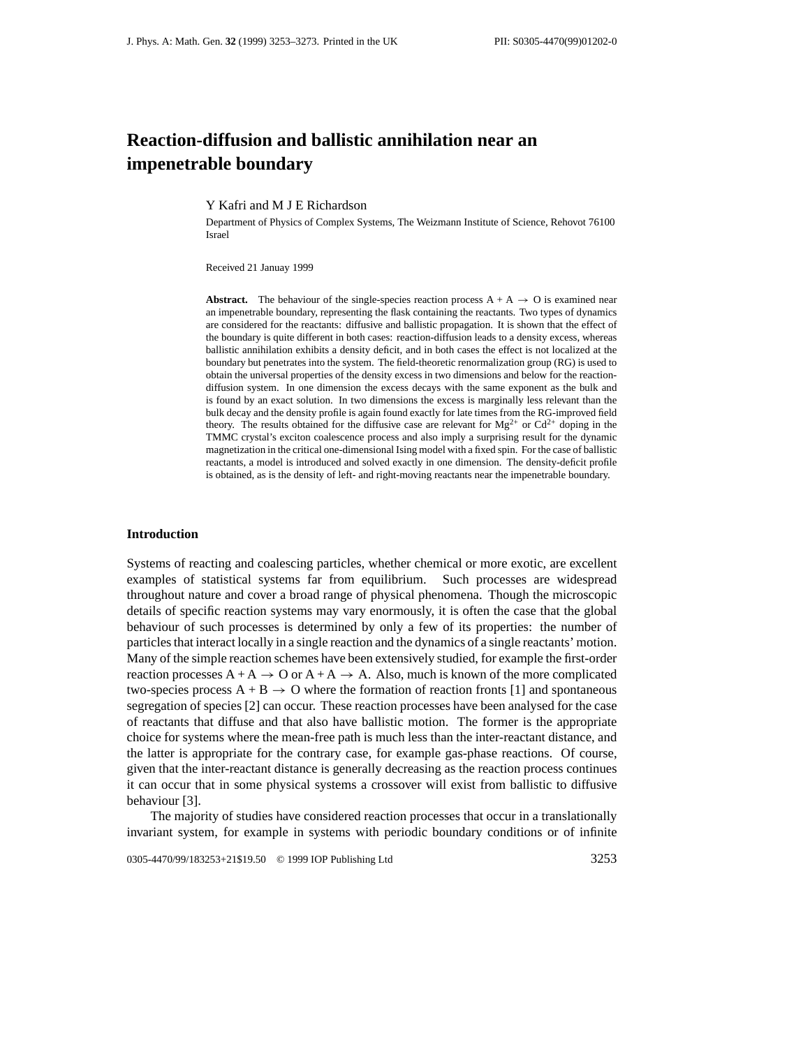# **Reaction-diffusion and ballistic annihilation near an impenetrable boundary**

Y Kafri and M J E Richardson

Department of Physics of Complex Systems, The Weizmann Institute of Science, Rehovot 76100 Israel

Received 21 Januay 1999

**Abstract.** The behaviour of the single-species reaction process  $A + A \rightarrow O$  is examined near an impenetrable boundary, representing the flask containing the reactants. Two types of dynamics are considered for the reactants: diffusive and ballistic propagation. It is shown that the effect of the boundary is quite different in both cases: reaction-diffusion leads to a density excess, whereas ballistic annihilation exhibits a density deficit, and in both cases the effect is not localized at the boundary but penetrates into the system. The field-theoretic renormalization group (RG) is used to obtain the universal properties of the density excess in two dimensions and below for the reactiondiffusion system. In one dimension the excess decays with the same exponent as the bulk and is found by an exact solution. In two dimensions the excess is marginally less relevant than the bulk decay and the density profile is again found exactly for late times from the RG-improved field theory. The results obtained for the diffusive case are relevant for  $Mg^{2+}$  or  $Cd^{2+}$  doping in the TMMC crystal's exciton coalescence process and also imply a surprising result for the dynamic magnetization in the critical one-dimensional Ising model with a fixed spin. For the case of ballistic reactants, a model is introduced and solved exactly in one dimension. The density-deficit profile is obtained, as is the density of left- and right-moving reactants near the impenetrable boundary.

## **Introduction**

Systems of reacting and coalescing particles, whether chemical or more exotic, are excellent examples of statistical systems far from equilibrium. Such processes are widespread throughout nature and cover a broad range of physical phenomena. Though the microscopic details of specific reaction systems may vary enormously, it is often the case that the global behaviour of such processes is determined by only a few of its properties: the number of particles that interact locally in a single reaction and the dynamics of a single reactants' motion. Many of the simple reaction schemes have been extensively studied, for example the first-order reaction processes  $A + A \rightarrow O$  or  $A + A \rightarrow A$ . Also, much is known of the more complicated two-species process  $A + B \rightarrow O$  where the formation of reaction fronts [1] and spontaneous segregation of species [2] can occur. These reaction processes have been analysed for the case of reactants that diffuse and that also have ballistic motion. The former is the appropriate choice for systems where the mean-free path is much less than the inter-reactant distance, and the latter is appropriate for the contrary case, for example gas-phase reactions. Of course, given that the inter-reactant distance is generally decreasing as the reaction process continues it can occur that in some physical systems a crossover will exist from ballistic to diffusive behaviour [3].

The majority of studies have considered reaction processes that occur in a translationally invariant system, for example in systems with periodic boundary conditions or of infinite

0305-4470/99/183253+21\$19.50 © 1999 IOP Publishing Ltd 3253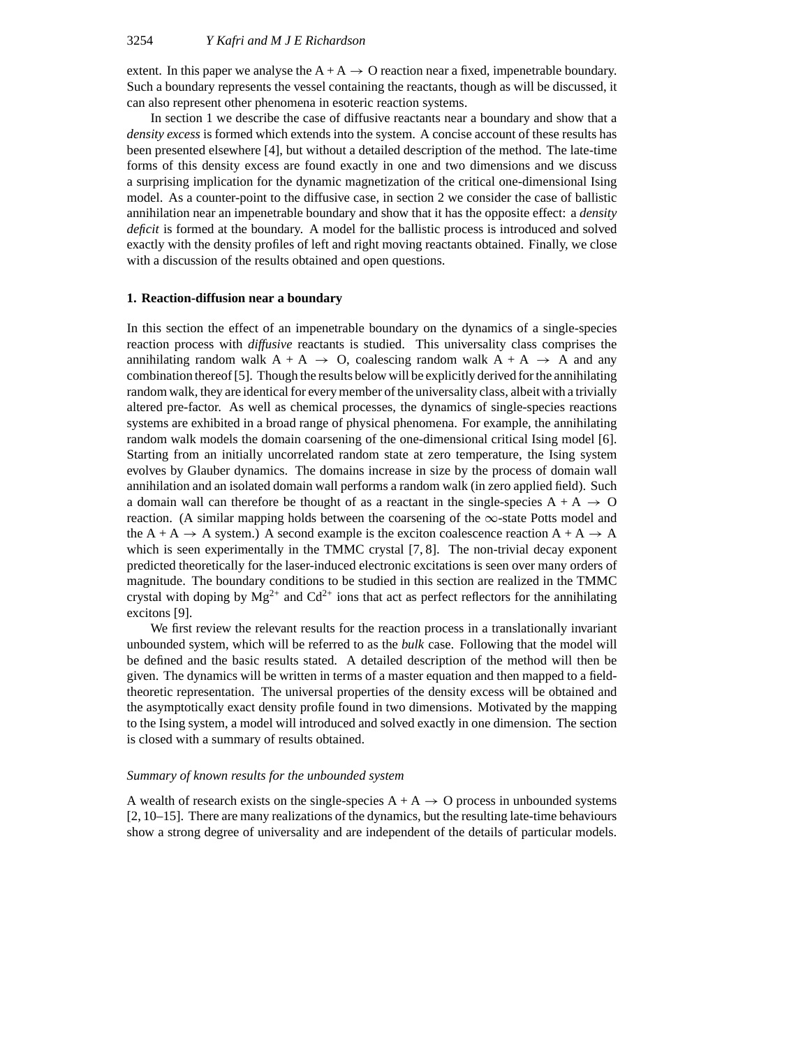extent. In this paper we analyse the  $A + A \rightarrow O$  reaction near a fixed, impenetrable boundary. Such a boundary represents the vessel containing the reactants, though as will be discussed, it can also represent other phenomena in esoteric reaction systems.

In section 1 we describe the case of diffusive reactants near a boundary and show that a *density excess* is formed which extends into the system. A concise account of these results has been presented elsewhere [4], but without a detailed description of the method. The late-time forms of this density excess are found exactly in one and two dimensions and we discuss a surprising implication for the dynamic magnetization of the critical one-dimensional Ising model. As a counter-point to the diffusive case, in section 2 we consider the case of ballistic annihilation near an impenetrable boundary and show that it has the opposite effect: a *density deficit* is formed at the boundary. A model for the ballistic process is introduced and solved exactly with the density profiles of left and right moving reactants obtained. Finally, we close with a discussion of the results obtained and open questions.

#### **1. Reaction-diffusion near a boundary**

In this section the effect of an impenetrable boundary on the dynamics of a single-species reaction process with *diffusive* reactants is studied. This universality class comprises the annihilating random walk  $A + A \rightarrow O$ , coalescing random walk  $A + A \rightarrow A$  and any combination thereof [5]. Though the results below will be explicitly derived for the annihilating random walk, they are identical for every member of the universality class, albeit with a trivially altered pre-factor. As well as chemical processes, the dynamics of single-species reactions systems are exhibited in a broad range of physical phenomena. For example, the annihilating random walk models the domain coarsening of the one-dimensional critical Ising model [6]. Starting from an initially uncorrelated random state at zero temperature, the Ising system evolves by Glauber dynamics. The domains increase in size by the process of domain wall annihilation and an isolated domain wall performs a random walk (in zero applied field). Such a domain wall can therefore be thought of as a reactant in the single-species  $A + A \rightarrow O$ reaction. (A similar mapping holds between the coarsening of the  $\infty$ -state Potts model and the A + A  $\rightarrow$  A system.) A second example is the exciton coalescence reaction A + A  $\rightarrow$  A which is seen experimentally in the TMMC crystal [7, 8]. The non-trivial decay exponent predicted theoretically for the laser-induced electronic excitations is seen over many orders of magnitude. The boundary conditions to be studied in this section are realized in the TMMC crystal with doping by  $Mg^{2+}$  and  $Cd^{2+}$  ions that act as perfect reflectors for the annihilating excitons [9].

We first review the relevant results for the reaction process in a translationally invariant unbounded system, which will be referred to as the *bulk* case. Following that the model will be defined and the basic results stated. A detailed description of the method will then be given. The dynamics will be written in terms of a master equation and then mapped to a fieldtheoretic representation. The universal properties of the density excess will be obtained and the asymptotically exact density profile found in two dimensions. Motivated by the mapping to the Ising system, a model will introduced and solved exactly in one dimension. The section is closed with a summary of results obtained.

## *Summary of known results for the unbounded system*

A wealth of research exists on the single-species  $A + A \rightarrow O$  process in unbounded systems [2, 10–15]. There are many realizations of the dynamics, but the resulting late-time behaviours show a strong degree of universality and are independent of the details of particular models.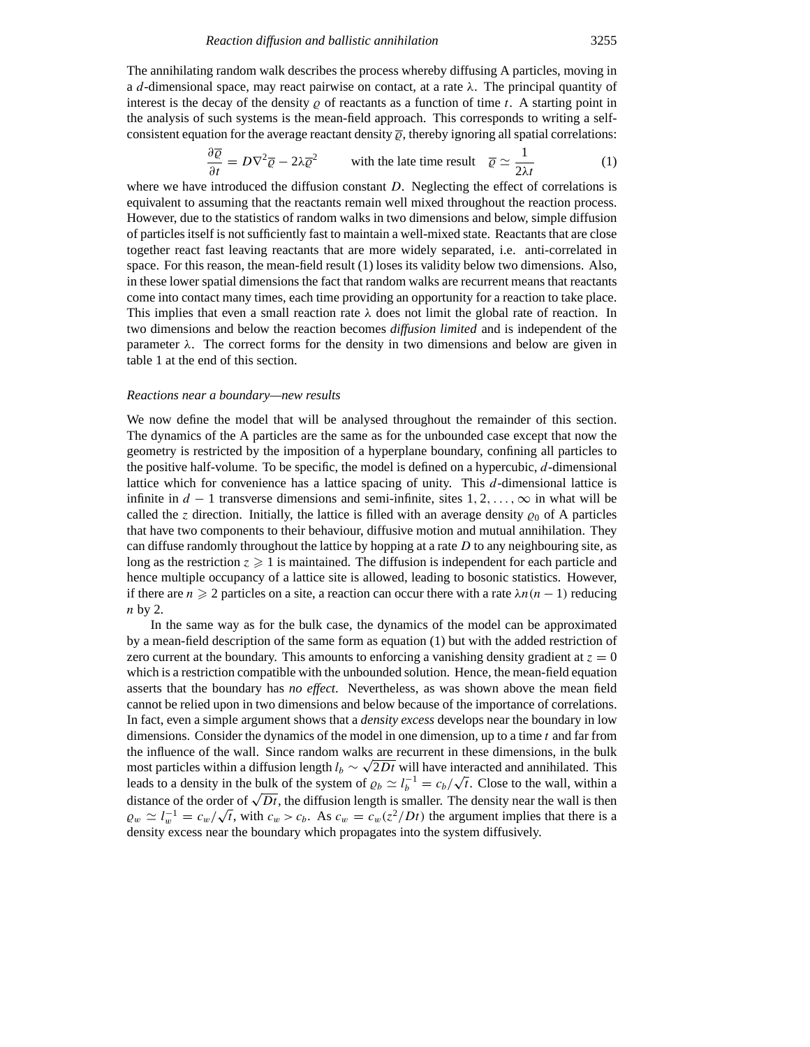The annihilating random walk describes the process whereby diffusing A particles, moving in a *d*-dimensional space, may react pairwise on contact, at a rate *λ*. The principal quantity of interest is the decay of the density  $\varrho$  of reactants as a function of time *t*. A starting point in the analysis of such systems is the mean-field approach. This corresponds to writing a selfconsistent equation for the average reactant density  $\overline{\varrho}$ , thereby ignoring all spatial correlations:

$$
\frac{\partial \overline{\varrho}}{\partial t} = D\nabla^2 \overline{\varrho} - 2\lambda \overline{\varrho}^2 \qquad \text{with the late time result} \quad \overline{\varrho} \simeq \frac{1}{2\lambda t} \tag{1}
$$

where we have introduced the diffusion constant *D*. Neglecting the effect of correlations is equivalent to assuming that the reactants remain well mixed throughout the reaction process. However, due to the statistics of random walks in two dimensions and below, simple diffusion of particles itself is not sufficiently fast to maintain a well-mixed state. Reactants that are close together react fast leaving reactants that are more widely separated, i.e. anti-correlated in space. For this reason, the mean-field result (1) loses its validity below two dimensions. Also, in these lower spatial dimensions the fact that random walks are recurrent means that reactants come into contact many times, each time providing an opportunity for a reaction to take place. This implies that even a small reaction rate  $\lambda$  does not limit the global rate of reaction. In two dimensions and below the reaction becomes *diffusion limited* and is independent of the parameter  $λ$ . The correct forms for the density in two dimensions and below are given in table 1 at the end of this section.

#### *Reactions near a boundary—new results*

We now define the model that will be analysed throughout the remainder of this section. The dynamics of the A particles are the same as for the unbounded case except that now the geometry is restricted by the imposition of a hyperplane boundary, confining all particles to the positive half-volume. To be specific, the model is defined on a hypercubic, *d*-dimensional lattice which for convenience has a lattice spacing of unity. This *d*-dimensional lattice is infinite in *d* − 1 transverse dimensions and semi-infinite, sites 1*,* 2*,...,*∞ in what will be called the *z* direction. Initially, the lattice is filled with an average density  $\rho_0$  of A particles that have two components to their behaviour, diffusive motion and mutual annihilation. They can diffuse randomly throughout the lattice by hopping at a rate *D* to any neighbouring site, as long as the restriction  $z \geq 1$  is maintained. The diffusion is independent for each particle and hence multiple occupancy of a lattice site is allowed, leading to bosonic statistics. However, if there are  $n \geq 2$  particles on a site, a reaction can occur there with a rate  $\lambda n(n-1)$  reducing *n* by 2.

In the same way as for the bulk case, the dynamics of the model can be approximated by a mean-field description of the same form as equation (1) but with the added restriction of zero current at the boundary. This amounts to enforcing a vanishing density gradient at  $z = 0$ which is a restriction compatible with the unbounded solution. Hence, the mean-field equation asserts that the boundary has *no effect*. Nevertheless, as was shown above the mean field cannot be relied upon in two dimensions and below because of the importance of correlations. In fact, even a simple argument shows that a *density excess* develops near the boundary in low dimensions. Consider the dynamics of the model in one dimension, up to a time *t* and far from the influence of the wall. Since random walks are recurrent in these dimensions, in the bulk most particles within a diffusion length  $l_b \sim \sqrt{2Dt}$  will have interacted and annihilated. This leads to a density in the bulk of the system of  $\varrho_b \simeq l_b^{-1} = c_b/\sqrt{t}$ . Close to the wall, within a leads to a density in the bulk of the system of  $\varrho_b \simeq l_b^{-1} = c_b/\sqrt{t}$ . Close to the wall, within a distance of the order of  $\sqrt{Dt}$ , the diffusion length is smaller. The density near the wall is then  $\omega_w \simeq l_w^{-1} = c_w/\sqrt{t}$ , with  $c_w > c_b$ . As  $c_w = c_w(z^2/Dt)$  the argument implies that there is a density excess near the boundary which propagates into the system diffusively.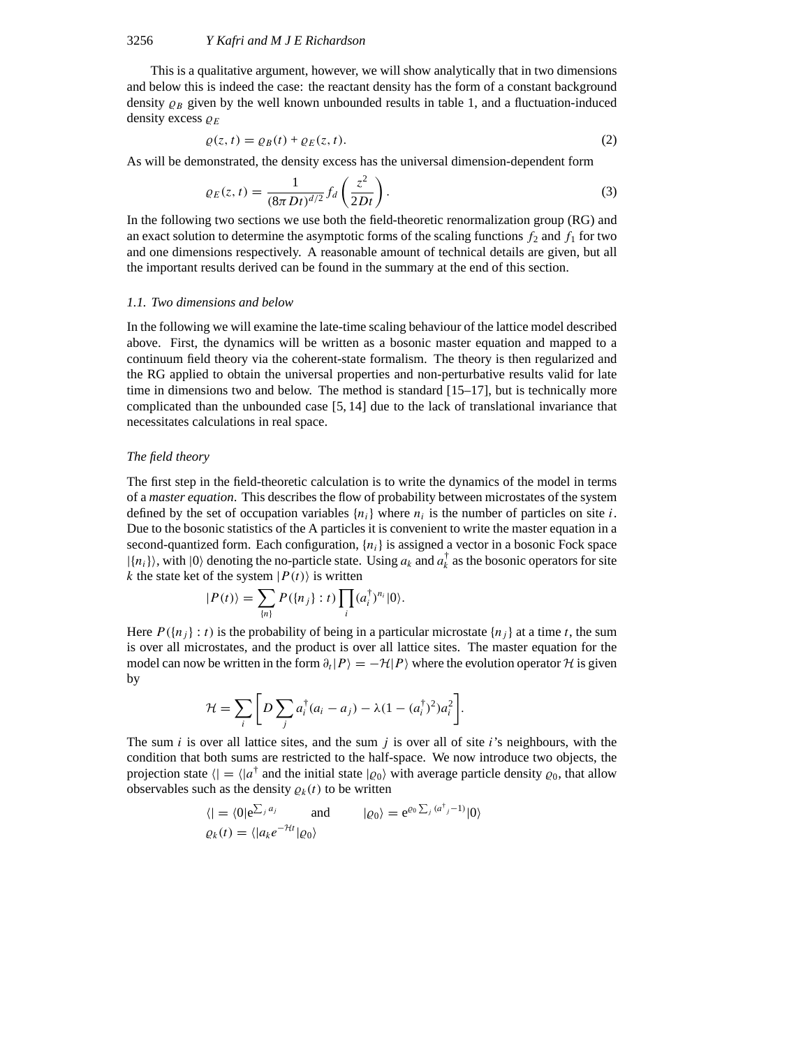This is a qualitative argument, however, we will show analytically that in two dimensions and below this is indeed the case: the reactant density has the form of a constant background density  $\rho_B$  given by the well known unbounded results in table 1, and a fluctuation-induced density excess  $\rho_E$ 

$$
\varrho(z,t) = \varrho_B(t) + \varrho_E(z,t). \tag{2}
$$

As will be demonstrated, the density excess has the universal dimension-dependent form

$$
\varrho_E(z,t) = \frac{1}{(8\pi Dt)^{d/2}} f_d\left(\frac{z^2}{2Dt}\right).
$$
 (3)

In the following two sections we use both the field-theoretic renormalization group (RG) and an exact solution to determine the asymptotic forms of the scaling functions  $f_2$  and  $f_1$  for two and one dimensions respectively. A reasonable amount of technical details are given, but all the important results derived can be found in the summary at the end of this section.

#### *1.1. Two dimensions and below*

In the following we will examine the late-time scaling behaviour of the lattice model described above. First, the dynamics will be written as a bosonic master equation and mapped to a continuum field theory via the coherent-state formalism. The theory is then regularized and the RG applied to obtain the universal properties and non-perturbative results valid for late time in dimensions two and below. The method is standard  $[15-17]$ , but is technically more complicated than the unbounded case [5, 14] due to the lack of translational invariance that necessitates calculations in real space.

# *The field theory*

The first step in the field-theoretic calculation is to write the dynamics of the model in terms of a *master equation*. This describes the flow of probability between microstates of the system defined by the set of occupation variables  $\{n_i\}$  where  $n_i$  is the number of particles on site *i*. Due to the bosonic statistics of the A particles it is convenient to write the master equation in a second-quantized form. Each configuration, {*ni*} is assigned a vector in a bosonic Fock space  $|\{n_i\}\rangle$ , with  $|0\rangle$  denoting the no-particle state. Using  $a_k$  and  $a_k^{\dagger}$  as the bosonic operators for site *k* the state ket of the system  $|P(t)\rangle$  is written

$$
|P(t)\rangle = \sum_{\{n\}} P(\{n_j\} : t) \prod_i (a_i^{\dagger})^{n_i} |0\rangle.
$$

Here  $P({n_i} \nvert t)$  is the probability of being in a particular microstate  ${n_i}$  at a time *t*, the sum is over all microstates, and the product is over all lattice sites. The master equation for the model can now be written in the form  $\partial_t|P\rangle=-\mathcal{H}|P\rangle$  where the evolution operator  $\mathcal H$  is given by

$$
\mathcal{H} = \sum_i \bigg[ D \sum_j a_i^{\dagger} (a_i - a_j) - \lambda (1 - (a_i^{\dagger})^2) a_i^2 \bigg].
$$

The sum *i* is over all lattice sites, and the sum *j* is over all of site *i*'s neighbours, with the condition that both sums are restricted to the half-space. We now introduce two objects, the projection state  $\langle \cdot | = \langle |a^{\dagger} \rangle$  and the initial state  $| \varrho_0 \rangle$  with average particle density  $\varrho_0$ , that allow observables such as the density  $\rho_k(t)$  to be written

$$
\langle | = \langle 0 | e^{\sum_j a_j} \quad \text{and} \quad |\varrho_0 \rangle = e^{\varrho_0 \sum_j (a^{\dagger}_j - 1)} |0 \rangle
$$
  

$$
\varrho_k(t) = \langle |a_k e^{-\mathcal{H}t} | \varrho_0 \rangle
$$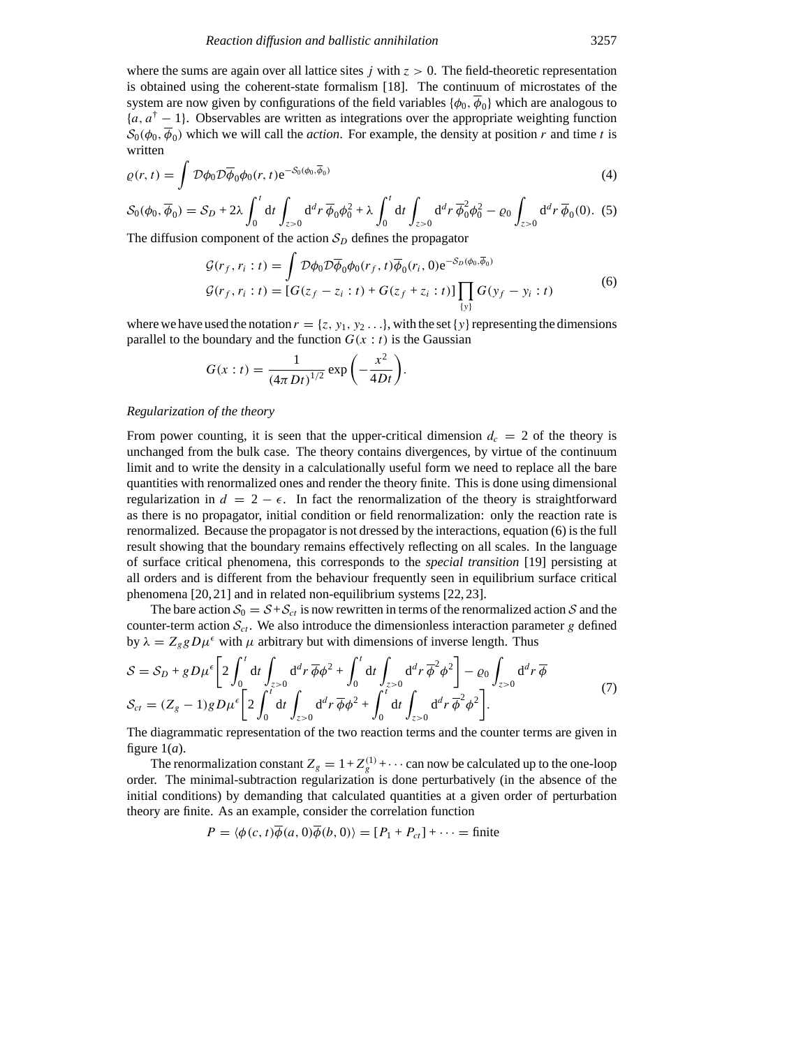where the sums are again over all lattice sites  $j$  with  $z > 0$ . The field-theoretic representation is obtained using the coherent-state formalism [18]. The continuum of microstates of the system are now given by configurations of the field variables  $\{\phi_0, \phi_0\}$  which are analogous to {*a, a*† − 1}. Observables are written as integrations over the appropriate weighting function  $S_0(\phi_0, \phi_0)$  which we will call the *action*. For example, the density at position *r* and time *t* is written

$$
\varrho(r,t) = \int \mathcal{D}\phi_0 \mathcal{D}\overline{\phi}_0 \phi_0(r,t) e^{-\mathcal{S}_0(\phi_0, \overline{\phi}_0)}
$$
(4)

$$
\mathcal{S}_0(\phi_0, \overline{\phi}_0) = \mathcal{S}_D + 2\lambda \int_0^t dt \int_{z>0} d^d r \, \overline{\phi}_0 \phi_0^2 + \lambda \int_0^t dt \int_{z>0} d^d r \, \overline{\phi}_0^2 \phi_0^2 - \varrho_0 \int_{z>0} d^d r \, \overline{\phi}_0(0). \tag{5}
$$

The diffusion component of the action  $S_D$  defines the propagator

$$
\mathcal{G}(r_f, r_i : t) = \int \mathcal{D}\phi_0 \mathcal{D}\overline{\phi}_0 \phi_0(r_f, t) \overline{\phi}_0(r_i, 0) e^{-S_D(\phi_0, \overline{\phi}_0)}
$$
  

$$
\mathcal{G}(r_f, r_i : t) = [G(z_f - z_i : t) + G(z_f + z_i : t)] \prod_{\{y\}} G(y_f - y_i : t)
$$
 (6)

where we have used the notation  $r = \{z, y_1, y_2, \ldots\}$ , with the set  $\{y\}$  representing the dimensions parallel to the boundary and the function  $G(x : t)$  is the Gaussian

$$
G(x:t) = \frac{1}{\left(4\pi Dt\right)^{1/2}} \exp\left(-\frac{x^2}{4Dt}\right).
$$

## *Regularization of the theory*

From power counting, it is seen that the upper-critical dimension  $d_c = 2$  of the theory is unchanged from the bulk case. The theory contains divergences, by virtue of the continuum limit and to write the density in a calculationally useful form we need to replace all the bare quantities with renormalized ones and render the theory finite. This is done using dimensional regularization in  $d = 2 - \epsilon$ . In fact the renormalization of the theory is straightforward as there is no propagator, initial condition or field renormalization: only the reaction rate is renormalized. Because the propagator is not dressed by the interactions, equation (6) is the full result showing that the boundary remains effectively reflecting on all scales. In the language of surface critical phenomena, this corresponds to the *special transition* [19] persisting at all orders and is different from the behaviour frequently seen in equilibrium surface critical phenomena [20, 21] and in related non-equilibrium systems [22, 23].

The bare action  $S_0 = S + S_{ct}$  is now rewritten in terms of the renormalized action *S* and the counter-term action  $S_{ct}$ . We also introduce the dimensionless interaction parameter *g* defined by  $\lambda = Z_g g D \mu^{\epsilon}$  with  $\mu$  arbitrary but with dimensions of inverse length. Thus

$$
S = S_D + gD\mu^{\epsilon} \left[ 2 \int_0^t dt \int_{z>0} d^d r \, \overline{\phi} \phi^2 + \int_0^t dt \int_{z>0} d^d r \, \overline{\phi}^2 \phi^2 \right] - \varrho_0 \int_{z>0} d^d r \, \overline{\phi}
$$
  
\n
$$
S_{ct} = (Z_g - 1)gD\mu^{\epsilon} \left[ 2 \int_0^t dt \int_{z>0} d^d r \, \overline{\phi} \phi^2 + \int_0^t dt \int_{z>0} d^d r \, \overline{\phi}^2 \phi^2 \right].
$$
\n(7)

The diagrammatic representation of the two reaction terms and the counter terms are given in figure  $1(a)$ .

The renormalization constant  $Z_g = 1 + Z_g^{(1)} + \cdots$  can now be calculated up to the one-loop order. The minimal-subtraction regularization is done perturbatively (in the absence of the initial conditions) by demanding that calculated quantities at a given order of perturbation theory are finite. As an example, consider the correlation function

$$
P = \langle \phi(c, t) \overline{\phi}(a, 0) \overline{\phi}(b, 0) \rangle = [P_1 + P_{ct}] + \cdots = \text{finite}
$$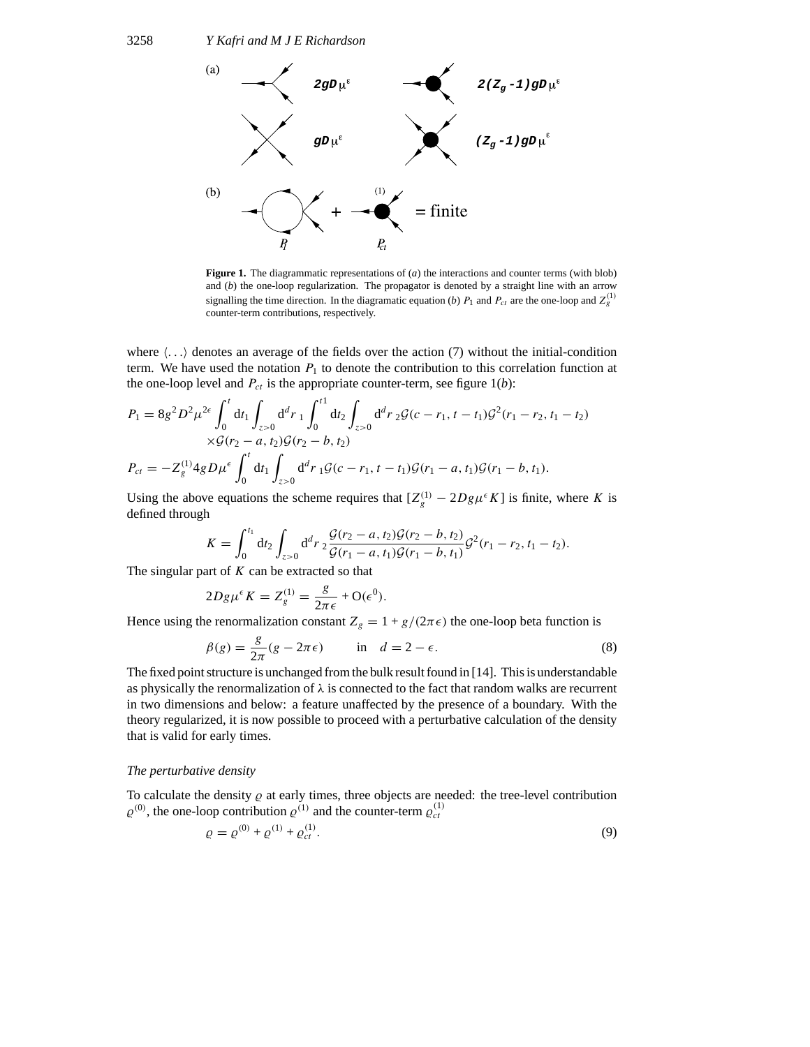

**Figure 1.** The diagrammatic representations of (*a*) the interactions and counter terms (with blob) and (*b*) the one-loop regularization. The propagator is denoted by a straight line with an arrow signalling the time direction. In the diagramatic equation (*b*)  $P_1$  and  $P_{ct}$  are the one-loop and  $Z_g^{(1)}$ counter-term contributions, respectively.

where  $\langle \ldots \rangle$  denotes an average of the fields over the action (7) without the initial-condition term. We have used the notation  $P_1$  to denote the contribution to this correlation function at the one-loop level and  $P_{ct}$  is the appropriate counter-term, see figure  $1(b)$ :

$$
P_1 = 8g^2 D^2 \mu^{2\epsilon} \int_0^t dt_1 \int_{z>0} d^d r_1 \int_0^{t1} dt_2 \int_{z>0} d^d r_2 \mathcal{G}(c-r_1, t-t_1) \mathcal{G}^2(r_1-r_2, t_1-t_2) \times \mathcal{G}(r_2-a, t_2) \mathcal{G}(r_2-b, t_2) P_{ct} = -Z_g^{(1)} 4g D \mu^{\epsilon} \int_0^t dt_1 \int_{z>0} d^d r_1 \mathcal{G}(c-r_1, t-t_1) \mathcal{G}(r_1-a, t_1) \mathcal{G}(r_1-b, t_1).
$$

Using the above equations the scheme requires that  $[Z_g^{(1)} - 2Dg\mu^{\epsilon}K]$  is finite, where *K* is defined through

$$
K = \int_0^{t_1} dt_2 \int_{z>0} d^d r \, 2 \frac{\mathcal{G}(r_2-a, t_2) \mathcal{G}(r_2-b, t_2)}{\mathcal{G}(r_1-a, t_1) \mathcal{G}(r_1-b, t_1)} \mathcal{G}^2(r_1-r_2, t_1-t_2).
$$

The singular part of *K* can be extracted so that

$$
2Dg\mu^{\epsilon}K = Z_g^{(1)} = \frac{g}{2\pi\epsilon} + \mathcal{O}(\epsilon^0).
$$

Hence using the renormalization constant  $Z_g = 1 + g/(2\pi\epsilon)$  the one-loop beta function is

$$
\beta(g) = \frac{g}{2\pi}(g - 2\pi\epsilon) \qquad \text{in} \quad d = 2 - \epsilon. \tag{8}
$$

The fixed point structure is unchanged from the bulk result found in [14]. This is understandable as physically the renormalization of  $\lambda$  is connected to the fact that random walks are recurrent in two dimensions and below: a feature unaffected by the presence of a boundary. With the theory regularized, it is now possible to proceed with a perturbative calculation of the density that is valid for early times.

# *The perturbative density*

To calculate the density  $\rho$  at early times, three objects are needed: the tree-level contribution  $\varrho^{(0)}$ , the one-loop contribution  $\varrho^{(1)}$  and the counter-term  $\varrho^{(1)}_{ct}$ 

$$
\varrho = \varrho^{(0)} + \varrho^{(1)} + \varrho^{(1)}_{ct}.
$$
\n(9)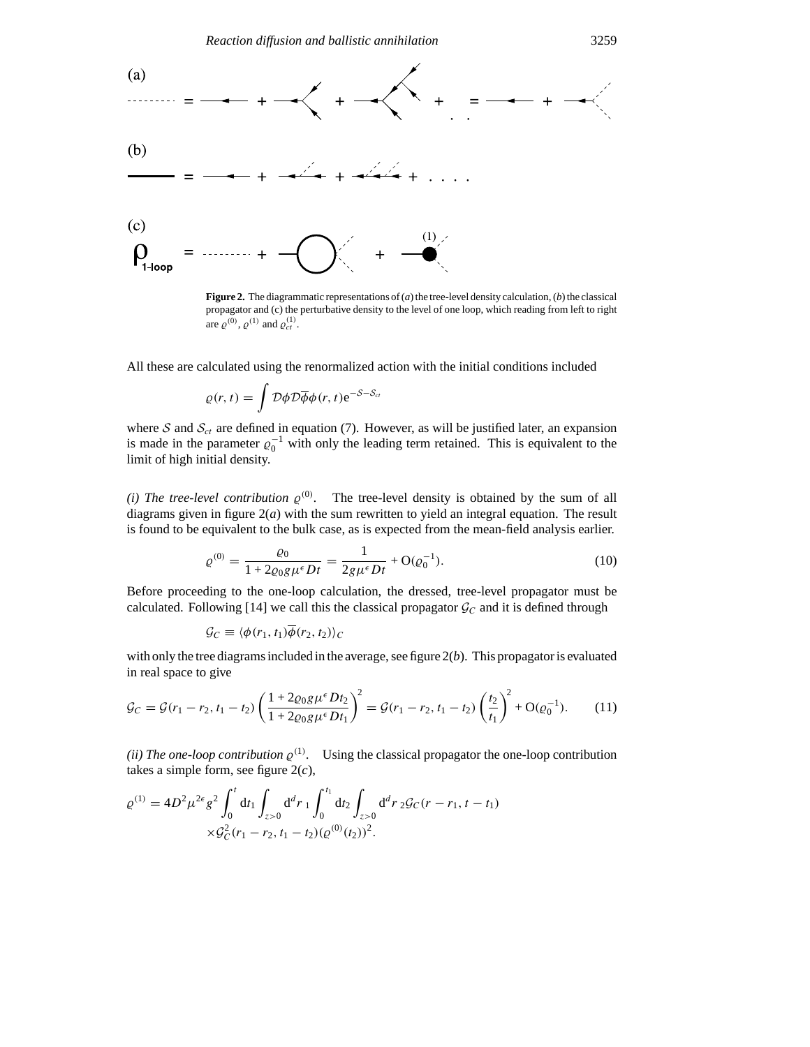

**Figure 2.** The diagrammatic representations of (*a*) the tree-level density calculation, (*b*) the classical propagator and (c) the perturbative density to the level of one loop, which reading from left to right are  $\varrho^{(0)}$ ,  $\varrho^{(1)}$  and  $\varrho_{ct}^{(1)}$ .

All these are calculated using the renormalized action with the initial conditions included

$$
\varrho(r,t) = \int \mathcal{D}\phi \mathcal{D}\overline{\phi}\phi(r,t) e^{-S-S_{ct}}
$$

where  $S$  and  $S_{ct}$  are defined in equation (7). However, as will be justified later, an expansion is made in the parameter  $\varrho_0^{-1}$  with only the leading term retained. This is equivalent to the limit of high initial density.

*(i) The tree-level contribution*  $\varrho^{(0)}$ . The tree-level density is obtained by the sum of all diagrams given in figure  $2(a)$  with the sum rewritten to yield an integral equation. The result is found to be equivalent to the bulk case, as is expected from the mean-field analysis earlier.

$$
\varrho^{(0)} = \frac{\varrho_0}{1 + 2\varrho_0 g \mu^{\epsilon} D t} = \frac{1}{2g \mu^{\epsilon} D t} + \mathcal{O}(\varrho_0^{-1}).\tag{10}
$$

Before proceeding to the one-loop calculation, the dressed, tree-level propagator must be calculated. Following [14] we call this the classical propagator  $\mathcal{G}_C$  and it is defined through

$$
\mathcal{G}_C \equiv \langle \phi(r_1, t_1) \overline{\phi}(r_2, t_2) \rangle_C
$$

with only the tree diagrams included in the average, see figure 2(*b*). This propagator is evaluated in real space to give

$$
\mathcal{G}_C = \mathcal{G}(r_1 - r_2, t_1 - t_2) \left( \frac{1 + 2\varrho_0 g \mu^{\epsilon} D t_2}{1 + 2\varrho_0 g \mu^{\epsilon} D t_1} \right)^2 = \mathcal{G}(r_1 - r_2, t_1 - t_2) \left( \frac{t_2}{t_1} \right)^2 + \mathcal{O}(\varrho_0^{-1}). \tag{11}
$$

*(ii) The one-loop contribution*  $\varrho^{(1)}$ . Using the classical propagator the one-loop contribution takes a simple form, see figure 2(*c*),

$$
\varrho^{(1)} = 4D^2 \mu^{2\epsilon} g^2 \int_0^t dt_1 \int_{z>0} d^d r_1 \int_0^{t_1} dt_2 \int_{z>0} d^d r_2 \mathcal{G}_C(r-r_1, t-t_1)
$$
  
 
$$
\times \mathcal{G}_C^2(r_1-r_2, t_1-t_2) (\varrho^{(0)}(t_2))^2.
$$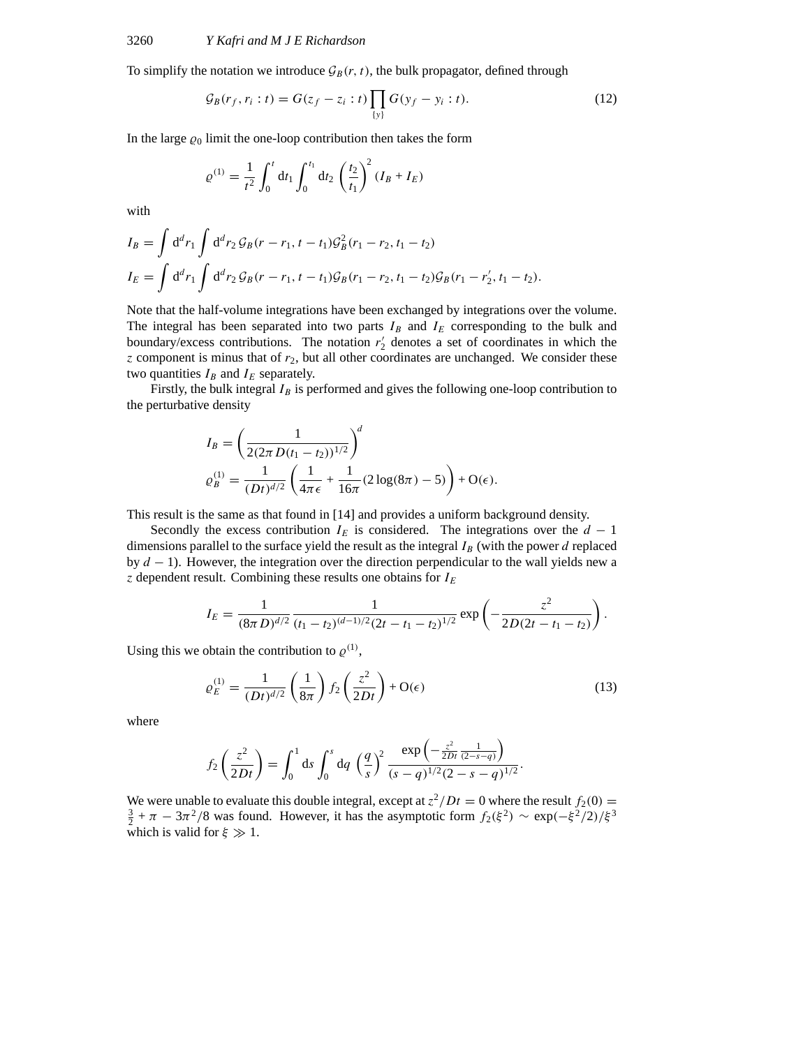To simplify the notation we introduce  $\mathcal{G}_B(r, t)$ , the bulk propagator, defined through

$$
\mathcal{G}_B(r_f, r_i : t) = G(z_f - z_i : t) \prod_{\{y\}} G(y_f - y_i : t).
$$
 (12)

In the large  $\varrho_0$  limit the one-loop contribution then takes the form

$$
\varrho^{(1)} = \frac{1}{t^2} \int_0^t dt_1 \int_0^{t_1} dt_2 \left(\frac{t_2}{t_1}\right)^2 (I_B + I_E)
$$

with

$$
I_B = \int d^d r_1 \int d^d r_2 \mathcal{G}_B(r - r_1, t - t_1) \mathcal{G}_B^2(r_1 - r_2, t_1 - t_2)
$$
  
\n
$$
I_E = \int d^d r_1 \int d^d r_2 \mathcal{G}_B(r - r_1, t - t_1) \mathcal{G}_B(r_1 - r_2, t_1 - t_2) \mathcal{G}_B(r_1 - r_2', t_1 - t_2).
$$

Note that the half-volume integrations have been exchanged by integrations over the volume. The integral has been separated into two parts  $I_B$  and  $I_E$  corresponding to the bulk and boundary/excess contributions. The notation  $r_2$  denotes a set of coordinates in which the *z* component is minus that of *r*2, but all other coordinates are unchanged. We consider these two quantities  $I_B$  and  $I_E$  separately.

Firstly, the bulk integral  $I_B$  is performed and gives the following one-loop contribution to the perturbative density

$$
I_B = \left(\frac{1}{2(2\pi D(t_1 - t_2))^{1/2}}\right)^d
$$
  
\n
$$
\varrho_B^{(1)} = \frac{1}{(Dt)^{d/2}} \left(\frac{1}{4\pi \epsilon} + \frac{1}{16\pi} (2\log(8\pi) - 5)\right) + O(\epsilon).
$$

This result is the same as that found in [14] and provides a uniform background density.

Secondly the excess contribution  $I_E$  is considered. The integrations over the  $d-1$ dimensions parallel to the surface yield the result as the integral  $I_B$  (with the power  $d$  replaced by *d* − 1). However, the integration over the direction perpendicular to the wall yields new a *z* dependent result. Combining these results one obtains for *IE*

$$
I_E = \frac{1}{(8\pi D)^{d/2}} \frac{1}{(t_1 - t_2)^{(d-1)/2} (2t - t_1 - t_2)^{1/2}} \exp\left(-\frac{z^2}{2D(2t - t_1 - t_2)}\right).
$$

Using this we obtain the contribution to  $\varrho^{(1)}$ ,

$$
\varrho_E^{(1)} = \frac{1}{(Dt)^{d/2}} \left(\frac{1}{8\pi}\right) f_2\left(\frac{z^2}{2Dt}\right) + \mathcal{O}(\epsilon) \tag{13}
$$

where

$$
f_2\left(\frac{z^2}{2Dt}\right) = \int_0^1 ds \int_0^s dq \left(\frac{q}{s}\right)^2 \frac{\exp\left(-\frac{z^2}{2Dt}\frac{1}{(2-s-q)}\right)}{(s-q)^{1/2}(2-s-q)^{1/2}}.
$$

We were unable to evaluate this double integral, except at  $z^2/Dt = 0$  where the result  $f_2(0) =$  $\frac{3}{2} + \pi - 3\pi^2/8$  was found. However, it has the asymptotic form  $f_2(\xi^2) \sim \exp(-\xi^2/2)/\xi^3$ which is valid for  $\xi \gg 1$ .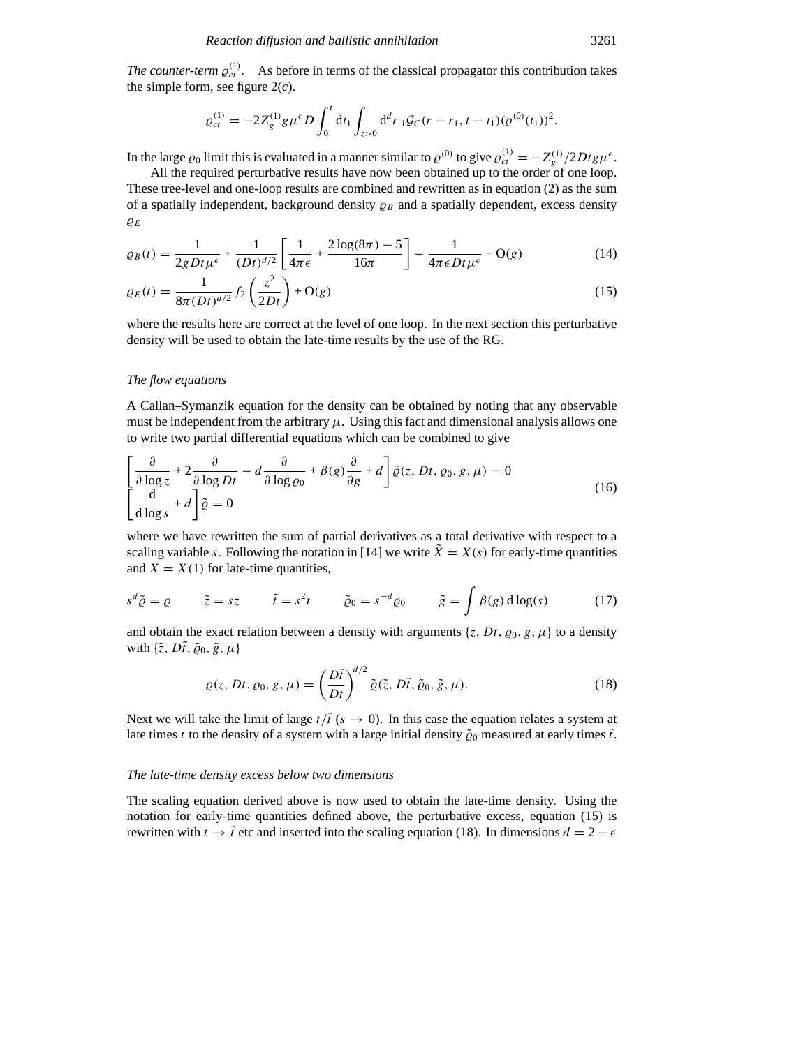*The counter-term*  $\varrho_{ct}^{(1)}$ . As before in terms of the classical propagator this contribution takes the simple form, see figure  $2(c)$ .

$$
\varrho_{ct}^{(1)} = -2Z_g^{(1)}g\mu^{\epsilon}D\int_0^t dt_1 \int_{z>0} d^dr \, {}_1\mathcal{G}_C(r-r_1,t-t_1)(\varrho^{(0)}(t_1))^2.
$$

In the large  $\varrho_0$  limit this is evaluated in a manner similar to  $\varrho^{(0)}$  to give  $\varrho_{ct}^{(1)} = -Z_g^{(1)}/2Dtg\mu^{\epsilon}$ .

All the required perturbative results have now been obtained up to the order of one loop. These tree-level and one-loop results are combined and rewritten as in equation (2) as the sum of a spatially independent, background density  $\rho_B$  and a spatially dependent, excess density *%E*

$$
\varrho_B(t) = \frac{1}{2gDt\mu^{\epsilon}} + \frac{1}{(Dt)^{d/2}} \left[ \frac{1}{4\pi\epsilon} + \frac{2\log(8\pi) - 5}{16\pi} \right] - \frac{1}{4\pi\epsilon Dt\mu^{\epsilon}} + O(g) \tag{14}
$$

$$
\varrho_E(t) = \frac{1}{8\pi (Dt)^{d/2}} f_2\left(\frac{z^2}{2Dt}\right) + \mathcal{O}(g)
$$
\n(15)

where the results here are correct at the level of one loop. In the next section this perturbative density will be used to obtain the late-time results by the use of the RG.

#### *The flow equations*

A Callan–Symanzik equation for the density can be obtained by noting that any observable must be independent from the arbitrary  $\mu$ . Using this fact and dimensional analysis allows one to write two partial differential equations which can be combined to give

$$
\left[\frac{\partial}{\partial \log z} + 2 \frac{\partial}{\partial \log Dt} - d \frac{\partial}{\partial \log \varrho_0} + \beta(g) \frac{\partial}{\partial g} + d\right] \tilde{\varrho}(z, Dt, \varrho_0, g, \mu) = 0
$$
\n
$$
\left[\frac{d}{d \log s} + d\right] \tilde{\varrho} = 0
$$
\n(16)

where we have rewritten the sum of partial derivatives as a total derivative with respect to a scaling variable *s*. Following the notation in [14] we write  $\tilde{X} = X(s)$  for early-time quantities and  $X = X(1)$  for late-time quantities,

$$
s^{d}\tilde{\varrho} = \varrho \qquad \tilde{z} = sz \qquad \tilde{t} = s^{2}t \qquad \tilde{\varrho}_{0} = s^{-d}\varrho_{0} \qquad \tilde{g} = \int \beta(g) \, d\log(s) \tag{17}
$$

and obtain the exact relation between a density with arguments  $\{z, Dt, \varrho_0, g, \mu\}$  to a density with  $\{\tilde{z}, D\tilde{t}, \tilde{\varrho}_0, \tilde{g}, \mu\}$ 

$$
\varrho(z, Dt, \varrho_0, g, \mu) = \left(\frac{D\tilde{t}}{Dt}\right)^{d/2} \tilde{\varrho}(\tilde{z}, D\tilde{t}, \tilde{\varrho}_0, \tilde{g}, \mu).
$$
\n(18)

Next we will take the limit of large  $t/\tilde{t}$  ( $s \to 0$ ). In this case the equation relates a system at late times *t* to the density of a system with a large initial density  $\tilde{\varrho}_0$  measured at early times  $\tilde{t}$ .

# *The late-time density excess below two dimensions*

The scaling equation derived above is now used to obtain the late-time density. Using the notation for early-time quantities defined above, the perturbative excess, equation (15) is rewritten with  $t \to \tilde{t}$  etc and inserted into the scaling equation (18). In dimensions  $d = 2 - \epsilon$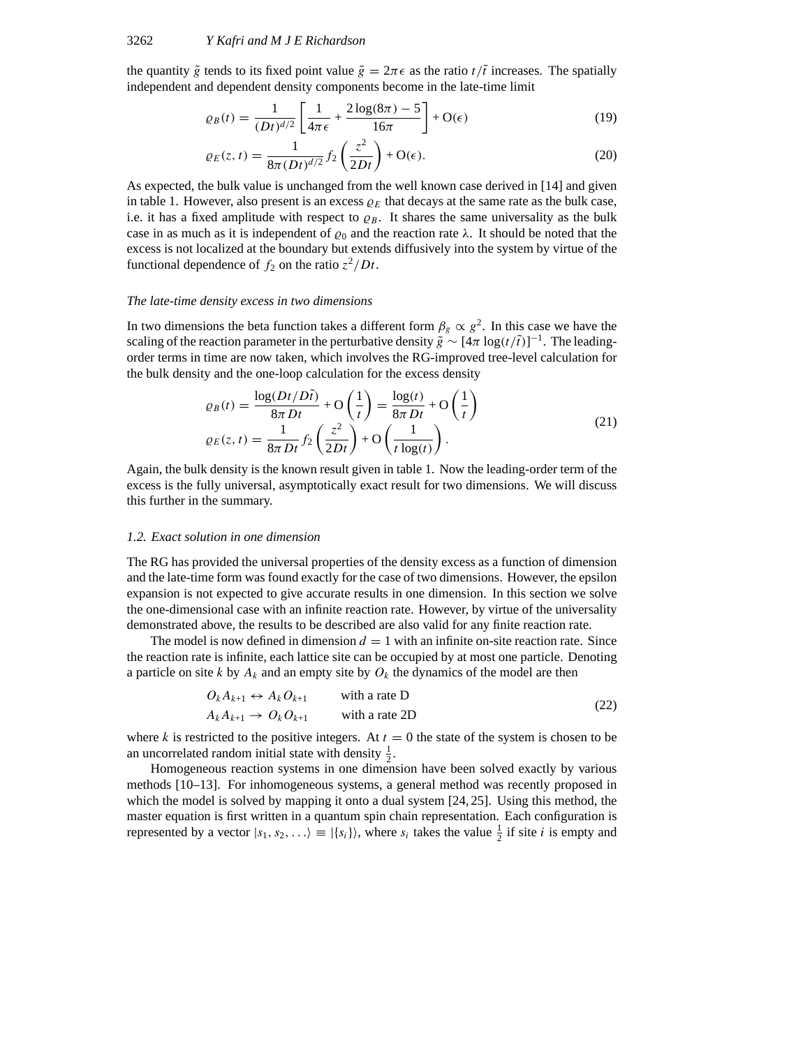the quantity  $\tilde{g}$  tends to its fixed point value  $\tilde{g} = 2\pi \epsilon$  as the ratio  $t/\tilde{t}$  increases. The spatially independent and dependent density components become in the late-time limit

$$
\varrho_B(t) = \frac{1}{(Dt)^{d/2}} \left[ \frac{1}{4\pi\epsilon} + \frac{2\log(8\pi) - 5}{16\pi} \right] + \mathcal{O}(\epsilon)
$$
\n(19)

$$
\varrho_E(z,t) = \frac{1}{8\pi (Dt)^{d/2}} f_2\left(\frac{z^2}{2Dt}\right) + \mathcal{O}(\epsilon). \tag{20}
$$

As expected, the bulk value is unchanged from the well known case derived in [14] and given in table 1. However, also present is an excess  $\rho_E$  that decays at the same rate as the bulk case, i.e. it has a fixed amplitude with respect to  $\rho_B$ . It shares the same universality as the bulk case in as much as it is independent of  $\varrho_0$  and the reaction rate  $\lambda$ . It should be noted that the excess is not localized at the boundary but extends diffusively into the system by virtue of the functional dependence of  $f_2$  on the ratio  $z^2/Dt$ .

#### *The late-time density excess in two dimensions*

In two dimensions the beta function takes a different form  $\beta_g \propto g^2$ . In this case we have the scaling of the reaction parameter in the perturbative density  $\tilde{g} \sim [4\pi \log(t/\tilde{t})]^{-1}$ . The leadingorder terms in time are now taken, which involves the RG-improved tree-level calculation for the bulk density and the one-loop calculation for the excess density

$$
\varrho_B(t) = \frac{\log(Dt/Dt)}{8\pi Dt} + \mathcal{O}\left(\frac{1}{t}\right) = \frac{\log(t)}{8\pi Dt} + \mathcal{O}\left(\frac{1}{t}\right)
$$
  

$$
\varrho_E(z, t) = \frac{1}{8\pi Dt} f_2\left(\frac{z^2}{2Dt}\right) + \mathcal{O}\left(\frac{1}{t\log(t)}\right).
$$
 (21)

Again, the bulk density is the known result given in table 1. Now the leading-order term of the excess is the fully universal, asymptotically exact result for two dimensions. We will discuss this further in the summary.

## *1.2. Exact solution in one dimension*

The RG has provided the universal properties of the density excess as a function of dimension and the late-time form was found exactly for the case of two dimensions. However, the epsilon expansion is not expected to give accurate results in one dimension. In this section we solve the one-dimensional case with an infinite reaction rate. However, by virtue of the universality demonstrated above, the results to be described are also valid for any finite reaction rate.

The model is now defined in dimension  $d = 1$  with an infinite on-site reaction rate. Since the reaction rate is infinite, each lattice site can be occupied by at most one particle. Denoting a particle on site *k* by  $A_k$  and an empty site by  $O_k$  the dynamics of the model are then

$$
O_k A_{k+1} \leftrightarrow A_k O_{k+1} \qquad \text{with a rate D} A_k A_{k+1} \to O_k O_{k+1} \qquad \text{with a rate 2D}
$$
 (22)

where *k* is restricted to the positive integers. At  $t = 0$  the state of the system is chosen to be an uncorrelated random initial state with density  $\frac{1}{2}$ .

Homogeneous reaction systems in one dimension have been solved exactly by various methods [10–13]. For inhomogeneous systems, a general method was recently proposed in which the model is solved by mapping it onto a dual system [24, 25]. Using this method, the master equation is first written in a quantum spin chain representation. Each configuration is represented by a vector  $|s_1, s_2, \ldots \rangle \equiv |\{s_i\}\rangle$ , where  $s_i$  takes the value  $\frac{1}{2}$  if site *i* is empty and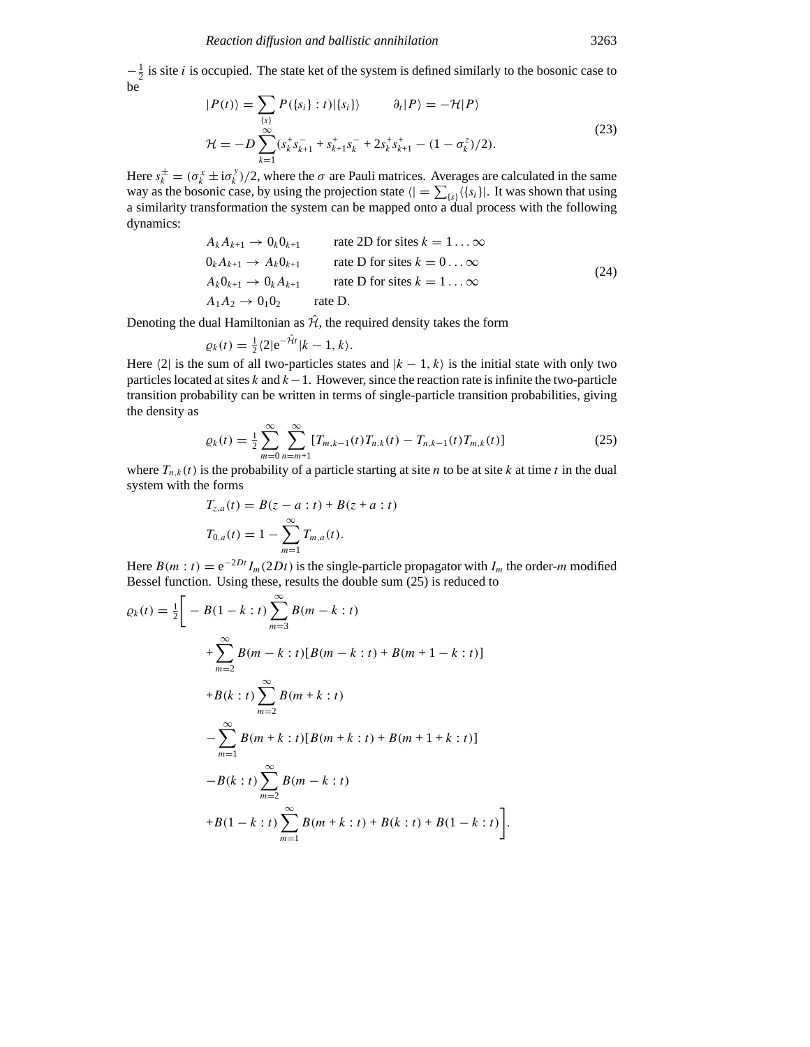$-\frac{1}{2}$  is site *i* is occupied. The state ket of the system is defined similarly to the bosonic case to be

$$
|P(t)\rangle = \sum_{\{s\}} P(\{s_i\} : t) |\{s_i\}\rangle \qquad \partial_t |P\rangle = -\mathcal{H}|P\rangle
$$
  

$$
\mathcal{H} = -D \sum_{k=1}^{\infty} (s_k^{\dagger} s_{k+1}^{-} + s_{k+1}^{+} s_k^{-} + 2s_k^{\dagger} s_{k+1}^{+} - (1 - \sigma_k^{z})/2).
$$
 (23)

Here  $s_k^{\pm} = (\sigma_k^x \pm i \sigma_k^y)/2$ , where the  $\sigma$  are Pauli matrices. Averages are calculated in the same way as the bosonic case, by using the projection state  $\langle \cdot | = \sum_{\{s\}} \langle \{s_i\} |$ . It was shown that using a similarity transformation the system can be mapped onto a dual process with the following dynamics:

$$
A_k A_{k+1} \to 0_k 0_{k+1} \qquad \text{rate 2D for sites } k = 1 ... \infty
$$
  
\n
$$
0_k A_{k+1} \to A_k 0_{k+1} \qquad \text{rate D for sites } k = 0 ... \infty
$$
  
\n
$$
A_k 0_{k+1} \to 0_k A_{k+1} \qquad \text{rate D for sites } k = 1 ... \infty
$$
  
\n
$$
A_1 A_2 \to 0_1 0_2 \qquad \text{rate D.}
$$
  
\n(24)

Denoting the dual Hamiltonian as  $\hat{\mathcal{H}}$ , the required density takes the form

$$
\varrho_k(t) = \frac{1}{2} \langle 2|e^{-\hat{\mathcal{H}}t}|k-1,k\rangle.
$$

Here  $\langle 2|$  is the sum of all two-particles states and  $|k - 1, k\rangle$  is the initial state with only two particles located at sites *k* and *k*−1. However, since the reaction rate is infinite the two-particle transition probability can be written in terms of single-particle transition probabilities, giving the density as

$$
\varrho_k(t) = \frac{1}{2} \sum_{m=0}^{\infty} \sum_{n=m+1}^{\infty} [T_{m,k-1}(t) T_{n,k}(t) - T_{n,k-1}(t) T_{m,k}(t)] \tag{25}
$$

where  $T_{n,k}(t)$  is the probability of a particle starting at site *n* to be at site *k* at time *t* in the dual system with the forms

$$
T_{z,a}(t) = B(z - a : t) + B(z + a : t)
$$
  
\n
$$
T_{0,a}(t) = 1 - \sum_{m=1}^{\infty} T_{m,a}(t).
$$

Here  $B(m : t) = e^{-2Dt} I_m(2Dt)$  is the single-particle propagator with  $I_m$  the order-*m* modified Bessel function. Using these, results the double sum (25) is reduced to

$$
\varrho_k(t) = \frac{1}{2} \Bigg[ -B(1-k:t) \sum_{m=3}^{\infty} B(m-k:t) + \sum_{m=2}^{\infty} B(m-k:t) [B(m-k:t) + B(m+1-k:t)]
$$
  
+
$$
B(k:t) \sum_{m=2}^{\infty} B(m+k:t) - \sum_{m=1}^{\infty} B(m+k:t) [B(m+k:t) + B(m+1+k:t)]
$$
  
-
$$
B(k:t) \sum_{m=2}^{\infty} B(m-k:t) + B(m+k:t) + B(k:t) + B(1-k:t) \Bigg].
$$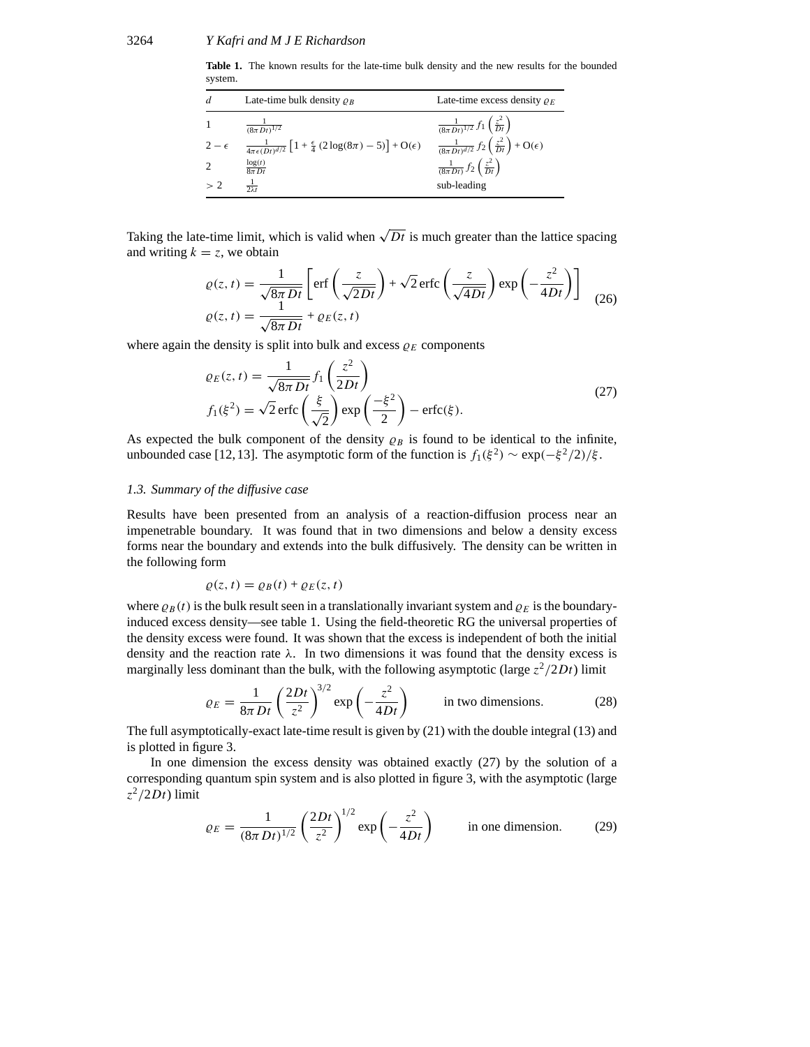**Table 1.** The known results for the late-time bulk density and the new results for the bounded system.

| d            | Late-time bulk density $\rho_B$                                                                           | Late-time excess density $\rho_E$                                                  |
|--------------|-----------------------------------------------------------------------------------------------------------|------------------------------------------------------------------------------------|
|              | $\frac{1}{(8\pi Dt)^{1/2}}$                                                                               | $\frac{1}{(8\pi Dt)^{1/2}} f_1\left(\frac{z^2}{Dt}\right)$                         |
| $2-\epsilon$ | $\frac{1}{4\pi\epsilon(Dt)^{d/2}}\left[1+\frac{\epsilon}{4}\left(2\log(8\pi)-5\right)\right]+O(\epsilon)$ | $\frac{1}{(8\pi Dt)^{d/2}} f_2\left(\frac{z^2}{Dt}\right) + \mathcal{O}(\epsilon)$ |
|              | $\frac{\log(t)}{8\pi Dt}$                                                                                 | $\frac{1}{(8\pi Dt)} f_2\left(\frac{z^2}{Dt}\right)$                               |
| >2           | $rac{1}{2\lambda t}$                                                                                      | sub-leading                                                                        |

Taking the late-time limit, which is valid when  $\sqrt{Dt}$  is much greater than the lattice spacing and writing  $k = z$ , we obtain

$$
\varrho(z,t) = \frac{1}{\sqrt{8\pi Dt}} \left[ \text{erf}\left(\frac{z}{\sqrt{2Dt}}\right) + \sqrt{2} \text{erfc}\left(\frac{z}{\sqrt{4Dt}}\right) \exp\left(-\frac{z^2}{4Dt}\right) \right]
$$
  

$$
\varrho(z,t) = \frac{1}{\sqrt{8\pi Dt}} + \varrho_E(z,t)
$$
 (26)

where again the density is split into bulk and excess  $\rho_E$  components

$$
\varrho_E(z, t) = \frac{1}{\sqrt{8\pi Dt}} f_1\left(\frac{z^2}{2Dt}\right)
$$
  

$$
f_1(\xi^2) = \sqrt{2} \operatorname{erfc}\left(\frac{\xi}{\sqrt{2}}\right) \exp\left(\frac{-\xi^2}{2}\right) - \operatorname{erfc}(\xi).
$$
 (27)

As expected the bulk component of the density  $\varrho_B$  is found to be identical to the infinite, unbounded case [12, 13]. The asymptotic form of the function is  $f_1(\xi^2) \sim \exp(-\xi^2/2)/\xi$ .

## *1.3. Summary of the diffusive case*

Results have been presented from an analysis of a reaction-diffusion process near an impenetrable boundary. It was found that in two dimensions and below a density excess forms near the boundary and extends into the bulk diffusively. The density can be written in the following form

$$
\varrho(z,t) = \varrho_B(t) + \varrho_E(z,t)
$$

where  $\rho_B(t)$  is the bulk result seen in a translationally invariant system and  $\rho_E$  is the boundaryinduced excess density—see table 1. Using the field-theoretic RG the universal properties of the density excess were found. It was shown that the excess is independent of both the initial density and the reaction rate *λ*. In two dimensions it was found that the density excess is marginally less dominant than the bulk, with the following asymptotic (large  $z^2/2Dt$ ) limit

$$
\varrho_E = \frac{1}{8\pi Dt} \left(\frac{2Dt}{z^2}\right)^{3/2} \exp\left(-\frac{z^2}{4Dt}\right) \qquad \text{in two dimensions.} \tag{28}
$$

The full asymptotically-exact late-time result is given by (21) with the double integral (13) and is plotted in figure 3.

In one dimension the excess density was obtained exactly (27) by the solution of a corresponding quantum spin system and is also plotted in figure 3, with the asymptotic (large  $z^2/2Dt$ ) limit

$$
\varrho_E = \frac{1}{(8\pi Dt)^{1/2}} \left(\frac{2Dt}{z^2}\right)^{1/2} \exp\left(-\frac{z^2}{4Dt}\right) \qquad \text{in one dimension.} \tag{29}
$$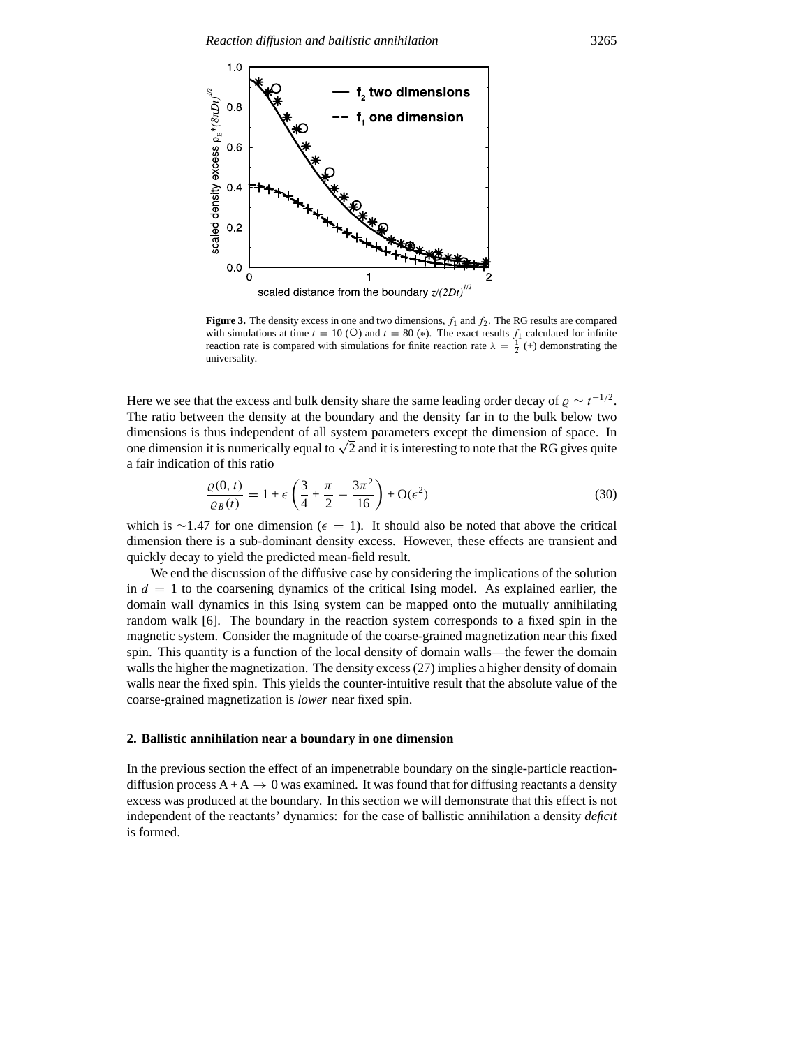

**Figure 3.** The density excess in one and two dimensions,  $f_1$  and  $f_2$ . The RG results are compared with simulations at time  $t = 10$  (○) and  $t = 80$  (\*). The exact results  $f_1$  calculated for infinite reaction rate is compared with simulations for finite reaction rate  $\lambda = \frac{1}{2}$  (+) demonstrating the universality.

Here we see that the excess and bulk density share the same leading order decay of  $\rho \sim t^{-1/2}$ . The ratio between the density at the boundary and the density far in to the bulk below two dimensions is thus independent of all system parameters except the dimension of space. In one dimension it is numerically equal to  $\sqrt{2}$  and it is interesting to note that the RG gives quite a fair indication of this ratio

$$
\frac{\varrho(0,t)}{\varrho_B(t)} = 1 + \epsilon \left( \frac{3}{4} + \frac{\pi}{2} - \frac{3\pi^2}{16} \right) + O(\epsilon^2)
$$
\n(30)

which is ∼1.47 for one dimension ( $\epsilon = 1$ ). It should also be noted that above the critical dimension there is a sub-dominant density excess. However, these effects are transient and quickly decay to yield the predicted mean-field result.

We end the discussion of the diffusive case by considering the implications of the solution in  $d = 1$  to the coarsening dynamics of the critical Ising model. As explained earlier, the domain wall dynamics in this Ising system can be mapped onto the mutually annihilating random walk [6]. The boundary in the reaction system corresponds to a fixed spin in the magnetic system. Consider the magnitude of the coarse-grained magnetization near this fixed spin. This quantity is a function of the local density of domain walls—the fewer the domain walls the higher the magnetization. The density excess (27) implies a higher density of domain walls near the fixed spin. This yields the counter-intuitive result that the absolute value of the coarse-grained magnetization is *lower* near fixed spin.

## **2. Ballistic annihilation near a boundary in one dimension**

In the previous section the effect of an impenetrable boundary on the single-particle reactiondiffusion process  $A + A \rightarrow 0$  was examined. It was found that for diffusing reactants a density excess was produced at the boundary. In this section we will demonstrate that this effect is not independent of the reactants' dynamics: for the case of ballistic annihilation a density *deficit* is formed.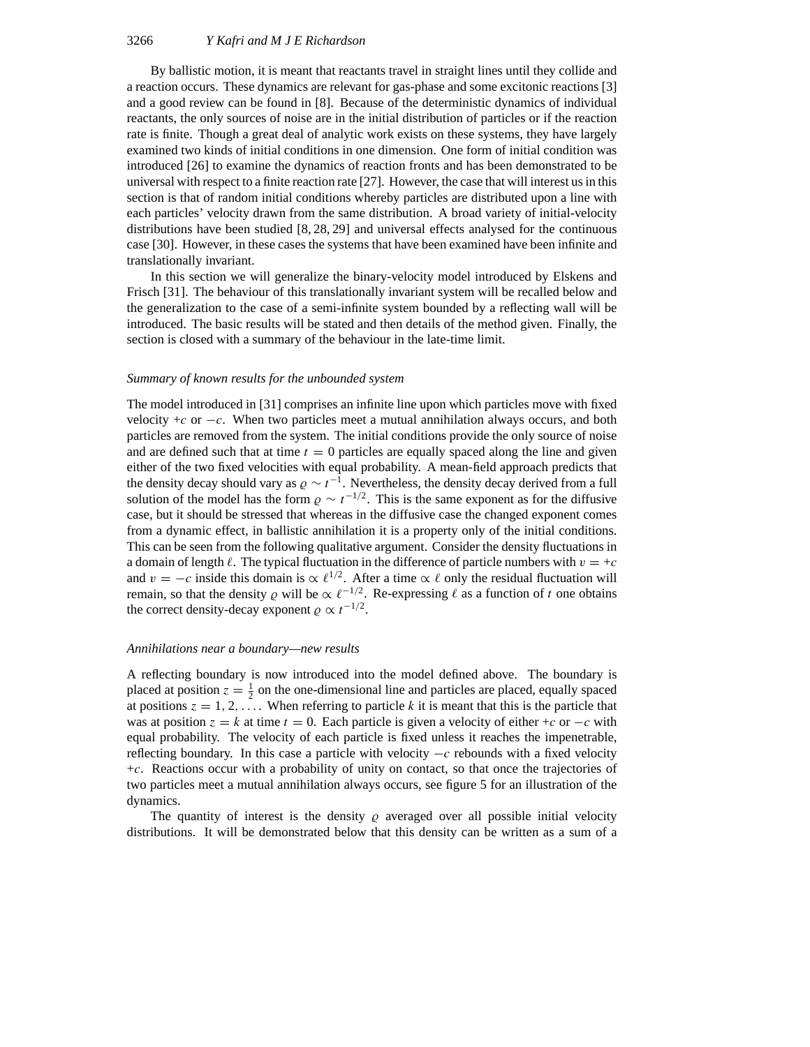By ballistic motion, it is meant that reactants travel in straight lines until they collide and a reaction occurs. These dynamics are relevant for gas-phase and some excitonic reactions [3] and a good review can be found in [8]. Because of the deterministic dynamics of individual reactants, the only sources of noise are in the initial distribution of particles or if the reaction rate is finite. Though a great deal of analytic work exists on these systems, they have largely examined two kinds of initial conditions in one dimension. One form of initial condition was introduced [26] to examine the dynamics of reaction fronts and has been demonstrated to be universal with respect to a finite reaction rate [27]. However, the case that will interest us in this section is that of random initial conditions whereby particles are distributed upon a line with each particles' velocity drawn from the same distribution. A broad variety of initial-velocity distributions have been studied [8, 28, 29] and universal effects analysed for the continuous case [30]. However, in these cases the systems that have been examined have been infinite and translationally invariant.

In this section we will generalize the binary-velocity model introduced by Elskens and Frisch [31]. The behaviour of this translationally invariant system will be recalled below and the generalization to the case of a semi-infinite system bounded by a reflecting wall will be introduced. The basic results will be stated and then details of the method given. Finally, the section is closed with a summary of the behaviour in the late-time limit.

#### *Summary of known results for the unbounded system*

The model introduced in [31] comprises an infinite line upon which particles move with fixed velocity +*c* or −*c*. When two particles meet a mutual annihilation always occurs, and both particles are removed from the system. The initial conditions provide the only source of noise and are defined such that at time  $t = 0$  particles are equally spaced along the line and given either of the two fixed velocities with equal probability. A mean-field approach predicts that the density decay should vary as  $\rho \sim t^{-1}$ . Nevertheless, the density decay derived from a full solution of the model has the form  $\rho \sim t^{-1/2}$ . This is the same exponent as for the diffusive case, but it should be stressed that whereas in the diffusive case the changed exponent comes from a dynamic effect, in ballistic annihilation it is a property only of the initial conditions. This can be seen from the following qualitative argument. Consider the density fluctuations in a domain of length  $\ell$ . The typical fluctuation in the difference of particle numbers with  $v = +c$ and *v* = −*c* inside this domain is  $\propto \ell^{1/2}$ . After a time  $\propto \ell$  only the residual fluctuation will remain, so that the density  $\rho$  will be  $\propto \ell^{-1/2}$ . Re-expressing  $\ell$  as a function of *t* one obtains the correct density-decay exponent  $\varrho \propto t^{-1/2}$ .

#### *Annihilations near a boundary—new results*

A reflecting boundary is now introduced into the model defined above. The boundary is placed at position  $z = \frac{1}{2}$  on the one-dimensional line and particles are placed, equally spaced at positions  $z = 1, 2, \ldots$ . When referring to particle *k* it is meant that this is the particle that was at position  $z = k$  at time  $t = 0$ . Each particle is given a velocity of either +*c* or  $-c$  with equal probability. The velocity of each particle is fixed unless it reaches the impenetrable, reflecting boundary. In this case a particle with velocity −*c* rebounds with a fixed velocity +*c*. Reactions occur with a probability of unity on contact, so that once the trajectories of two particles meet a mutual annihilation always occurs, see figure 5 for an illustration of the dynamics.

The quantity of interest is the density  $\rho$  averaged over all possible initial velocity distributions. It will be demonstrated below that this density can be written as a sum of a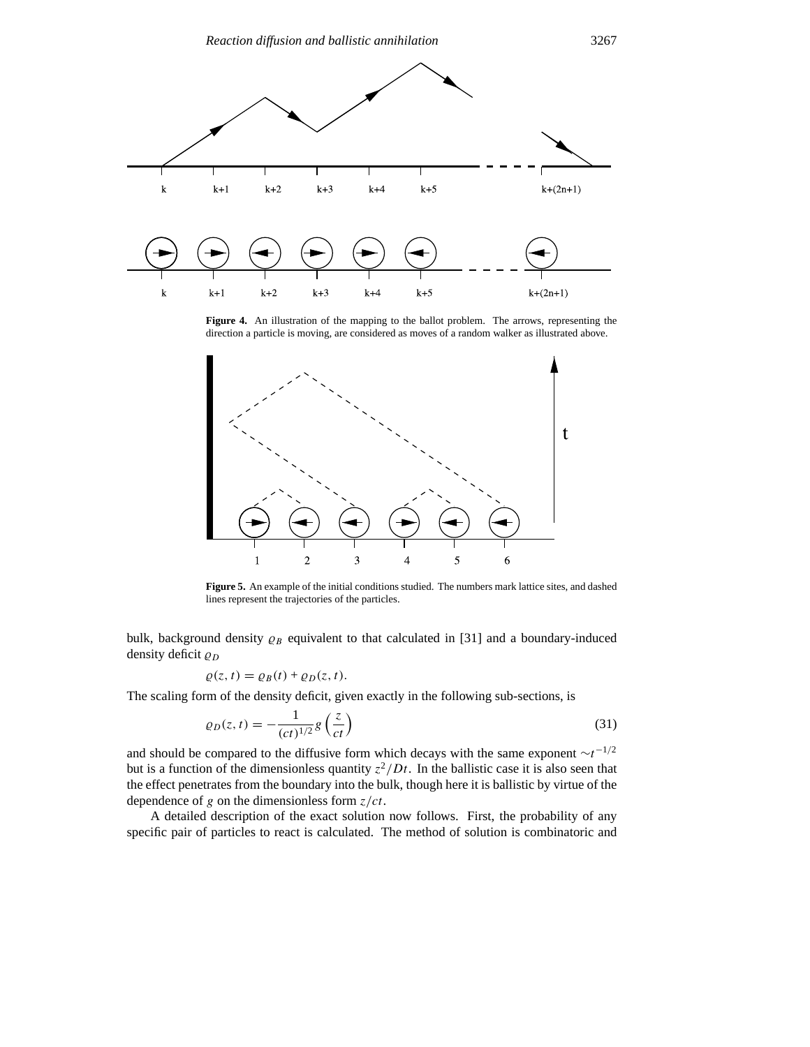

Figure 4. An illustration of the mapping to the ballot problem. The arrows, representing the direction a particle is moving, are considered as moves of a random walker as illustrated above.



**Figure 5.** An example of the initial conditions studied. The numbers mark lattice sites, and dashed lines represent the trajectories of the particles.

bulk, background density  $\rho_B$  equivalent to that calculated in [31] and a boundary-induced density deficit  $\rho_D$ 

$$
\varrho(z,t) = \varrho_B(t) + \varrho_D(z,t).
$$

The scaling form of the density deficit, given exactly in the following sub-sections, is

$$
\varrho_D(z,t) = -\frac{1}{(ct)^{1/2}} g\left(\frac{z}{ct}\right) \tag{31}
$$

and should be compared to the diffusive form which decays with the same exponent ∼*t*<sup>−</sup>1*/*<sup>2</sup> but is a function of the dimensionless quantity  $z^2/Dt$ . In the ballistic case it is also seen that the effect penetrates from the boundary into the bulk, though here it is ballistic by virtue of the dependence of *g* on the dimensionless form *z/ct*.

A detailed description of the exact solution now follows. First, the probability of any specific pair of particles to react is calculated. The method of solution is combinatoric and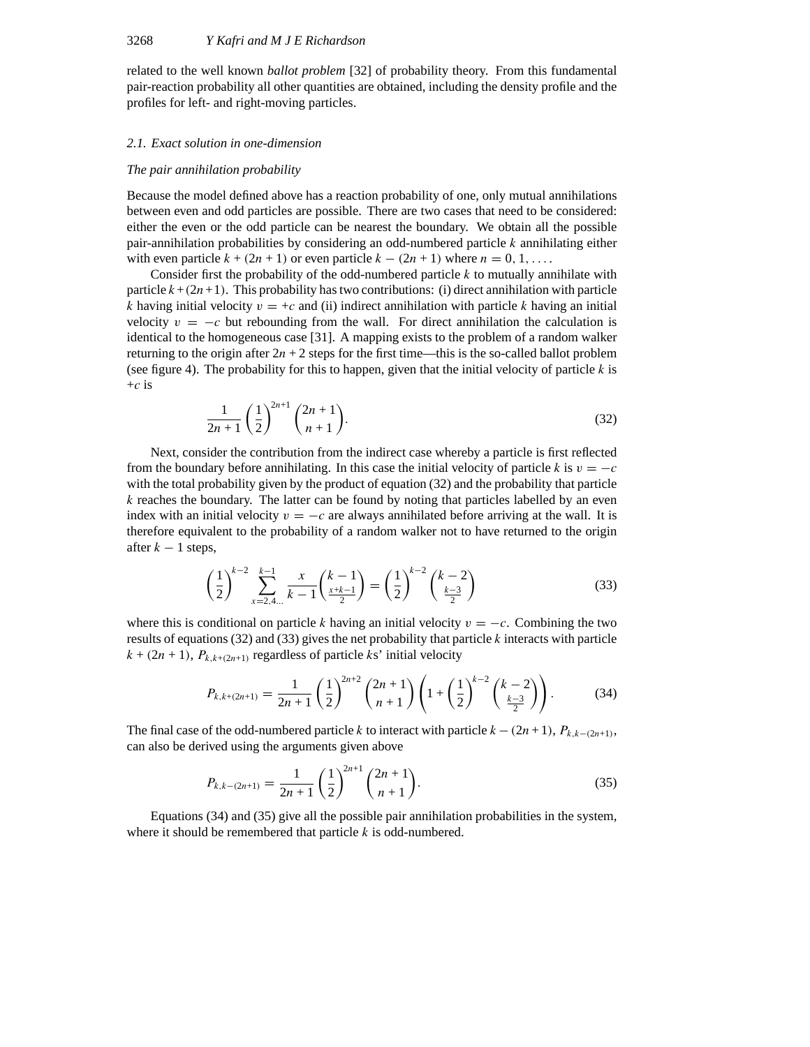related to the well known *ballot problem* [32] of probability theory. From this fundamental pair-reaction probability all other quantities are obtained, including the density profile and the profiles for left- and right-moving particles.

# *2.1. Exact solution in one-dimension*

#### *The pair annihilation probability*

Because the model defined above has a reaction probability of one, only mutual annihilations between even and odd particles are possible. There are two cases that need to be considered: either the even or the odd particle can be nearest the boundary. We obtain all the possible pair-annihilation probabilities by considering an odd-numbered particle *k* annihilating either with even particle  $k + (2n + 1)$  or even particle  $k - (2n + 1)$  where  $n = 0, 1, \ldots$ .

Consider first the probability of the odd-numbered particle *k* to mutually annihilate with particle  $k + (2n+1)$ . This probability has two contributions: (i) direct annihilation with particle *k* having initial velocity  $v = +c$  and (ii) indirect annihilation with particle *k* having an initial velocity  $v = -c$  but rebounding from the wall. For direct annihilation the calculation is identical to the homogeneous case [31]. A mapping exists to the problem of a random walker returning to the origin after  $2n + 2$  steps for the first time—this is the so-called ballot problem (see figure 4). The probability for this to happen, given that the initial velocity of particle *k* is +*c* is

$$
\frac{1}{2n+1} \left(\frac{1}{2}\right)^{2n+1} {2n+1 \choose n+1}.
$$
 (32)

Next, consider the contribution from the indirect case whereby a particle is first reflected from the boundary before annihilating. In this case the initial velocity of particle *k* is  $v = -c$ with the total probability given by the product of equation (32) and the probability that particle *k* reaches the boundary. The latter can be found by noting that particles labelled by an even index with an initial velocity  $v = -c$  are always annihilated before arriving at the wall. It is therefore equivalent to the probability of a random walker not to have returned to the origin after  $k - 1$  steps,

$$
\left(\frac{1}{2}\right)^{k-2} \sum_{x=2,4...}^{k-1} \frac{x}{k-1} {k-1 \choose \frac{x+k-1}{2}} = \left(\frac{1}{2}\right)^{k-2} {k-2 \choose \frac{k-3}{2}} \tag{33}
$$

where this is conditional on particle *k* having an initial velocity  $v = -c$ . Combining the two results of equations (32) and (33) gives the net probability that particle *k* interacts with particle  $k + (2n + 1)$ ,  $P_{k,k+(2n+1)}$  regardless of particle *ks*' initial velocity

$$
P_{k,k+(2n+1)} = \frac{1}{2n+1} \left(\frac{1}{2}\right)^{2n+2} {2n+1 \choose n+1} \left(1 + \left(\frac{1}{2}\right)^{k-2} {k-2 \choose \frac{k-3}{2}}\right). \tag{34}
$$

The final case of the odd-numbered particle *k* to interact with particle  $k - (2n + 1)$ ,  $P_{k,k-(2n+1)}$ , can also be derived using the arguments given above

$$
P_{k,k-(2n+1)} = \frac{1}{2n+1} \left(\frac{1}{2}\right)^{2n+1} {2n+1 \choose n+1}.
$$
 (35)

Equations (34) and (35) give all the possible pair annihilation probabilities in the system, where it should be remembered that particle *k* is odd-numbered.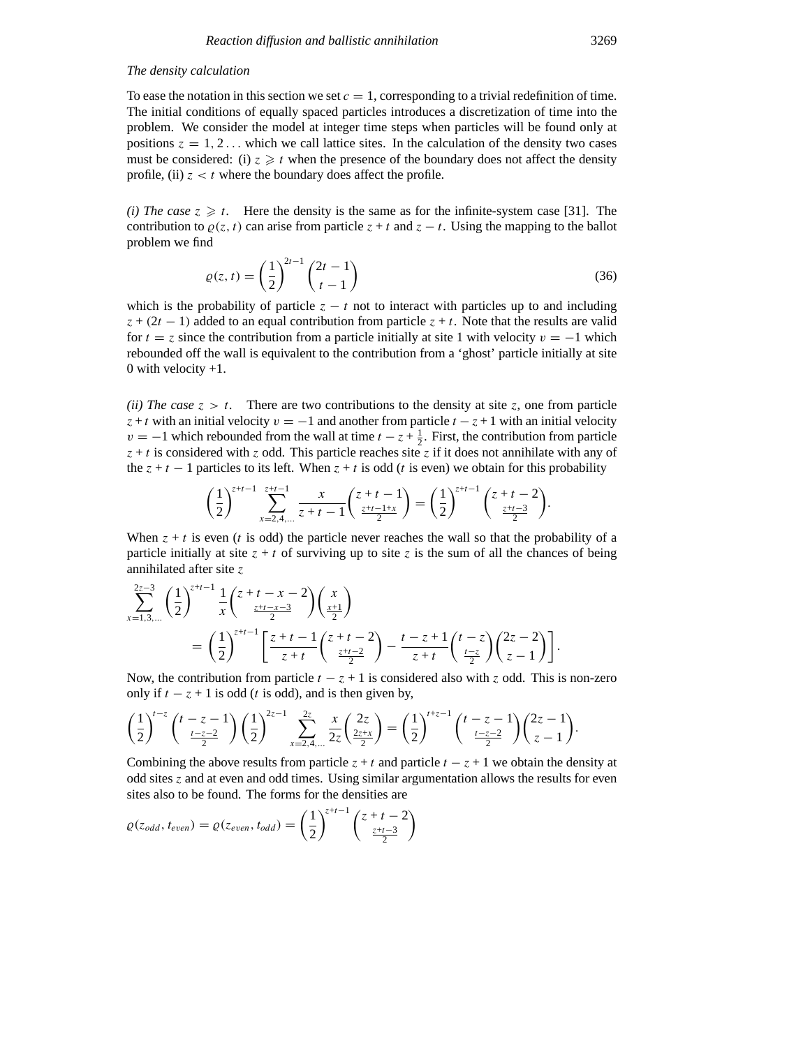# *The density calculation*

To ease the notation in this section we set  $c = 1$ , corresponding to a trivial redefinition of time. The initial conditions of equally spaced particles introduces a discretization of time into the problem. We consider the model at integer time steps when particles will be found only at positions  $z = 1, 2, \ldots$  which we call lattice sites. In the calculation of the density two cases must be considered: (i)  $z \geq t$  when the presence of the boundary does not affect the density profile, (ii)  $z < t$  where the boundary does affect the profile.

*(i) The case*  $z \geq t$ . Here the density is the same as for the infinite-system case [31]. The contribution to  $\rho(z, t)$  can arise from particle  $z + t$  and  $z - t$ . Using the mapping to the ballot problem we find

$$
\varrho(z,t) = \left(\frac{1}{2}\right)^{2t-1} \binom{2t-1}{t-1} \tag{36}
$$

which is the probability of particle  $z - t$  not to interact with particles up to and including  $z + (2t - 1)$  added to an equal contribution from particle  $z + t$ . Note that the results are valid for  $t = z$  since the contribution from a particle initially at site 1 with velocity  $v = -1$  which rebounded off the wall is equivalent to the contribution from a 'ghost' particle initially at site 0 with velocity  $+1$ .

*(ii) The case*  $z > t$ . There are two contributions to the density at site z, one from particle *z* + *t* with an initial velocity  $v = -1$  and another from particle  $t - z + 1$  with an initial velocity *v* = −1 which rebounded from the wall at time  $t - z + \frac{1}{2}$ . First, the contribution from particle  $z + t$  is considered with *z* odd. This particle reaches site *z* if it does not annihilate with any of the  $z + t - 1$  particles to its left. When  $z + t$  is odd (*t* is even) we obtain for this probability

$$
\left(\frac{1}{2}\right)^{z+t-1} \sum_{x=2,4,...}^{z+t-1} \frac{x}{z+t-1} {z+t-1 \choose \frac{z+t-1+x}{2}} = \left(\frac{1}{2}\right)^{z+t-1} {z+t-2 \choose \frac{z+t-3}{2}}.
$$

When  $z + t$  is even (*t* is odd) the particle never reaches the wall so that the probability of a particle initially at site  $z + t$  of surviving up to site  $z$  is the sum of all the chances of being annihilated after site *z*

$$
\sum_{x=1,3,...}^{2z-3} \left(\frac{1}{2}\right)^{z+t-1} \frac{1}{x} \left(\frac{z+t-x-2}{\frac{z+t-x-3}{2}}\right) \left(\frac{x}{\frac{x+1}{2}}\right)
$$
\n
$$
= \left(\frac{1}{2}\right)^{z+t-1} \left[\frac{z+t-1}{z+t} \left(\frac{z+t-2}{\frac{z+t-2}{2}}\right) - \frac{t-z+1}{z+t} \left(\frac{t-z}{\frac{t-z}{2}}\right) \left(\frac{2z-2}{z-1}\right)\right].
$$

Now, the contribution from particle  $t - z + 1$  is considered also with *z* odd. This is non-zero only if  $t - z + 1$  is odd (*t* is odd), and is then given by,

$$
\left(\frac{1}{2}\right)^{t-z} {t-z-1 \choose \frac{t-z-2}{2}} \left(\frac{1}{2}\right)^{2z-1} \sum_{x=2,4,...}^{2z} \frac{x}{2z} {2z \choose \frac{2z+x}{2}} = \left(\frac{1}{2}\right)^{t+z-1} {t-z-1 \choose \frac{t-z-2}{2}} \left(\frac{2z-1}{z-1}\right).
$$

Combining the above results from particle  $z + t$  and particle  $t - z + 1$  we obtain the density at odd sites *z* and at even and odd times. Using similar argumentation allows the results for even sites also to be found. The forms for the densities are

$$
\varrho(z_{odd}, t_{even}) = \varrho(z_{even}, t_{odd}) = \left(\frac{1}{2}\right)^{z+t-1} \binom{z+t-2}{\frac{z+t-3}{2}}
$$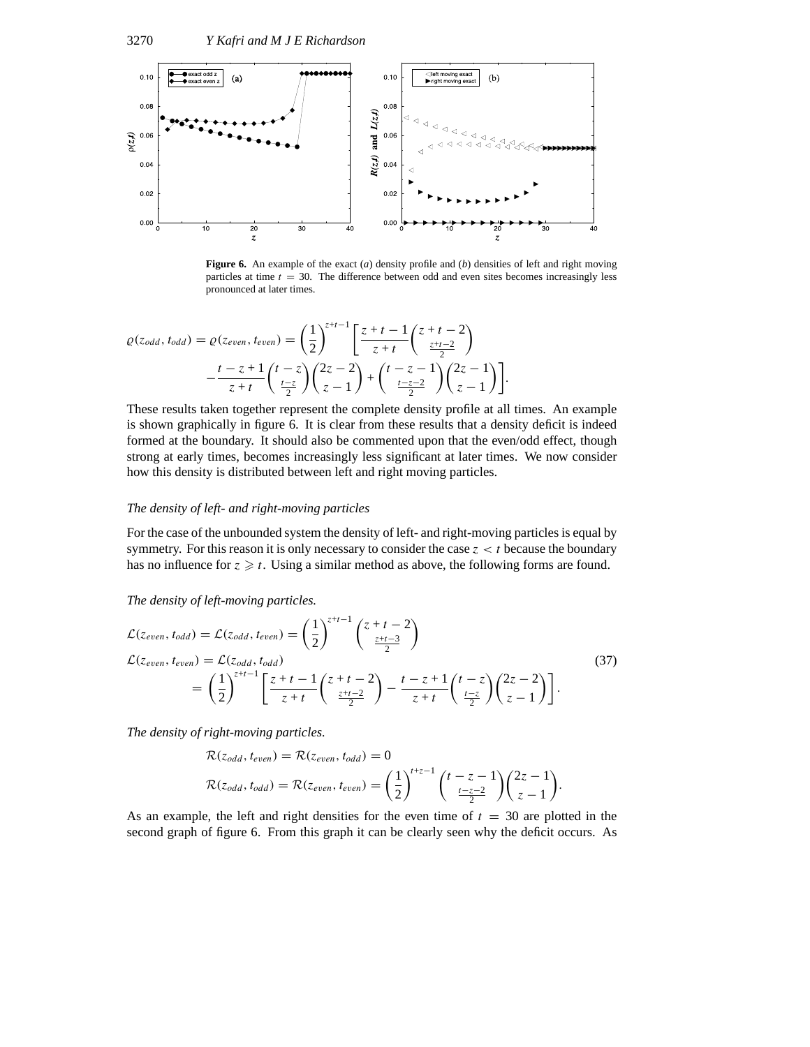

**Figure 6.** An example of the exact (*a*) density profile and (*b*) densities of left and right moving particles at time *t* = 30. The difference between odd and even sites becomes increasingly less pronounced at later times.

$$
\varrho(z_{odd}, t_{odd}) = \varrho(z_{even}, t_{even}) = \left(\frac{1}{2}\right)^{z+t-1} \left[\frac{z+t-1}{z+t} \binom{z+t-2}{\frac{z+t-2}{2}} - \frac{t-z+1}{z+t} \binom{t-z}{\frac{t-z}{2}} \binom{2z-2}{z-1} + \binom{t-z-1}{\frac{t-z-2}{2}} \binom{2z-1}{z-1}\right].
$$

These results taken together represent the complete density profile at all times. An example is shown graphically in figure 6. It is clear from these results that a density deficit is indeed formed at the boundary. It should also be commented upon that the even/odd effect, though strong at early times, becomes increasingly less significant at later times. We now consider how this density is distributed between left and right moving particles.

## *The density of left- and right-moving particles*

For the case of the unbounded system the density of left- and right-moving particles is equal by symmetry. For this reason it is only necessary to consider the case  $z < t$  because the boundary has no influence for  $z \geq t$ . Using a similar method as above, the following forms are found.

## *The density of left-moving particles.*

$$
\mathcal{L}(z_{even}, t_{odd}) = \mathcal{L}(z_{odd}, t_{even}) = \left(\frac{1}{2}\right)^{z+t-1} \left(\frac{z+t-2}{\frac{z+t-3}{2}}\right)
$$
\n
$$
\mathcal{L}(z_{even}, t_{even}) = \mathcal{L}(z_{odd}, t_{odd})
$$
\n
$$
= \left(\frac{1}{2}\right)^{z+t-1} \left[\frac{z+t-1}{z+t} \left(\frac{z+t-2}{\frac{z+t-2}{2}}\right) - \frac{t-z+1}{z+t} \left(\frac{t-z}{\frac{t-z}{2}}\right) \left(\frac{2z-2}{z-1}\right)\right].
$$
\n(37)

*The density of right-moving particles.*

$$
\mathcal{R}(z_{odd}, t_{even}) = \mathcal{R}(z_{even}, t_{odd}) = 0
$$
  

$$
\mathcal{R}(z_{odd}, t_{odd}) = \mathcal{R}(z_{even}, t_{even}) = \left(\frac{1}{2}\right)^{t+z-1} \binom{t-z-1}{\frac{t-z-2}{2}} \binom{2z-1}{z-1}.
$$

As an example, the left and right densities for the even time of  $t = 30$  are plotted in the second graph of figure 6. From this graph it can be clearly seen why the deficit occurs. As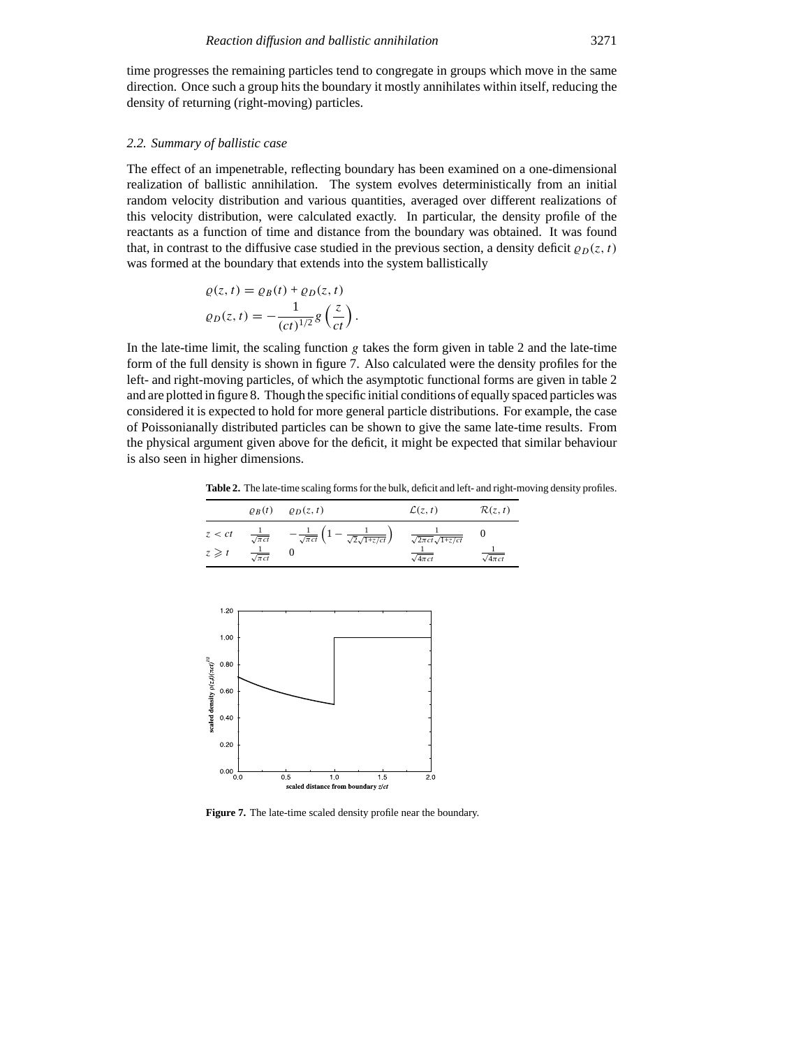time progresses the remaining particles tend to congregate in groups which move in the same direction. Once such a group hits the boundary it mostly annihilates within itself, reducing the density of returning (right-moving) particles.

# *2.2. Summary of ballistic case*

The effect of an impenetrable, reflecting boundary has been examined on a one-dimensional realization of ballistic annihilation. The system evolves deterministically from an initial random velocity distribution and various quantities, averaged over different realizations of this velocity distribution, were calculated exactly. In particular, the density profile of the reactants as a function of time and distance from the boundary was obtained. It was found that, in contrast to the diffusive case studied in the previous section, a density deficit  $\rho_D(z, t)$ was formed at the boundary that extends into the system ballistically

$$
\varrho(z,t) = \varrho_B(t) + \varrho_D(z,t)
$$

$$
\varrho_D(z,t) = -\frac{1}{(ct)^{1/2}} g\left(\frac{z}{ct}\right).
$$

In the late-time limit, the scaling function *g* takes the form given in table 2 and the late-time form of the full density is shown in figure 7. Also calculated were the density profiles for the left- and right-moving particles, of which the asymptotic functional forms are given in table 2 and are plotted in figure 8. Though the specific initial conditions of equally spaced particles was considered it is expected to hold for more general particle distributions. For example, the case of Poissonianally distributed particles can be shown to give the same late-time results. From the physical argument given above for the deficit, it might be expected that similar behaviour is also seen in higher dimensions.

**Table 2.** The late-time scaling forms for the bulk, deficit and left- and right-moving density profiles.

|            | $\rho_B(t)$               | $\varrho_D(z,t)$                                                         | $\mathcal{L}(z,t)$            | $\mathcal{R}(z,t)$ |
|------------|---------------------------|--------------------------------------------------------------------------|-------------------------------|--------------------|
| z < ct     | $\frac{1}{\sqrt{\pi ct}}$ | $-\frac{1}{\sqrt{\pi ct}}\left(1-\frac{1}{\sqrt{2}\sqrt{1+z/ct}}\right)$ | $\sqrt{2\pi ct\sqrt{1+z/ct}}$ |                    |
| $z \geq t$ | $\sqrt{\pi ct}$           |                                                                          | $\sqrt{4\pi ct}$              | $\sqrt{4\pi ct}$   |



**Figure 7.** The late-time scaled density profile near the boundary.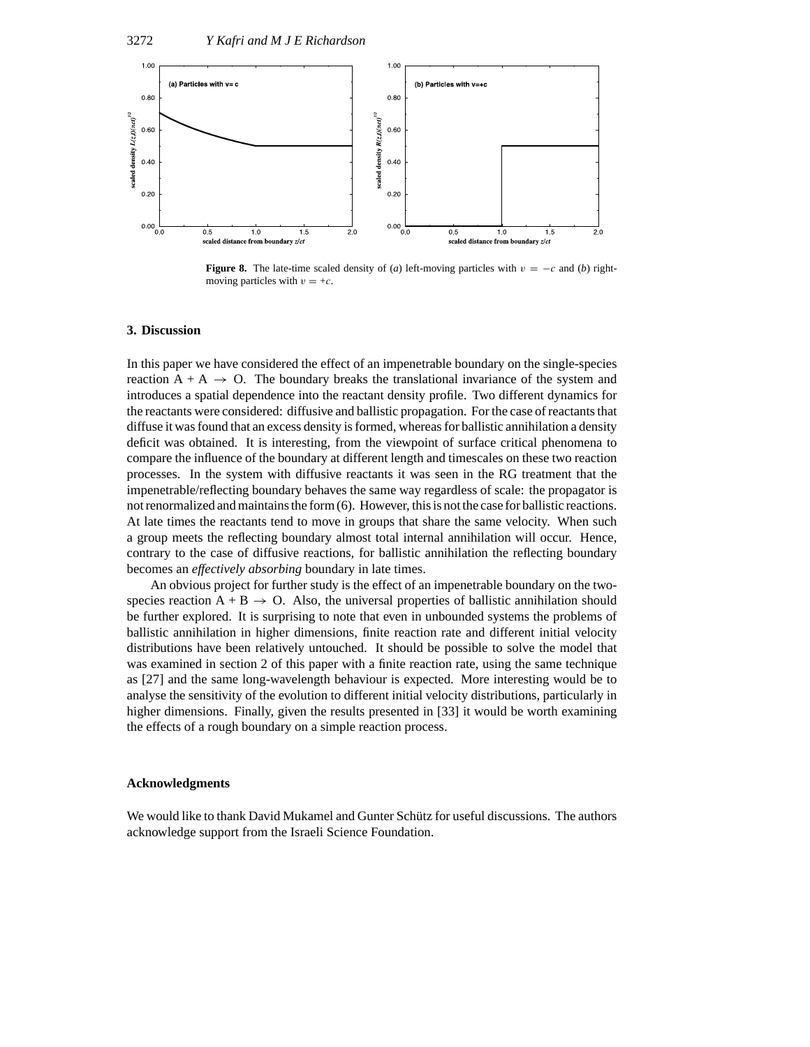

**Figure 8.** The late-time scaled density of (*a*) left-moving particles with  $v = -c$  and (*b*) rightmoving particles with  $v = +c$ .

#### **3. Discussion**

In this paper we have considered the effect of an impenetrable boundary on the single-species reaction  $A + A \rightarrow O$ . The boundary breaks the translational invariance of the system and introduces a spatial dependence into the reactant density profile. Two different dynamics for the reactants were considered: diffusive and ballistic propagation. For the case of reactants that diffuse it was found that an excess density is formed, whereas for ballistic annihilation a density deficit was obtained. It is interesting, from the viewpoint of surface critical phenomena to compare the influence of the boundary at different length and timescales on these two reaction processes. In the system with diffusive reactants it was seen in the RG treatment that the impenetrable/reflecting boundary behaves the same way regardless of scale: the propagator is not renormalized and maintains the form (6). However, this is not the case for ballistic reactions. At late times the reactants tend to move in groups that share the same velocity. When such a group meets the reflecting boundary almost total internal annihilation will occur. Hence, contrary to the case of diffusive reactions, for ballistic annihilation the reflecting boundary becomes an *effectively absorbing* boundary in late times.

An obvious project for further study is the effect of an impenetrable boundary on the twospecies reaction  $A + B \rightarrow O$ . Also, the universal properties of ballistic annihilation should be further explored. It is surprising to note that even in unbounded systems the problems of ballistic annihilation in higher dimensions, finite reaction rate and different initial velocity distributions have been relatively untouched. It should be possible to solve the model that was examined in section 2 of this paper with a finite reaction rate, using the same technique as [27] and the same long-wavelength behaviour is expected. More interesting would be to analyse the sensitivity of the evolution to different initial velocity distributions, particularly in higher dimensions. Finally, given the results presented in [33] it would be worth examining the effects of a rough boundary on a simple reaction process.

# **Acknowledgments**

We would like to thank David Mukamel and Gunter Schütz for useful discussions. The authors acknowledge support from the Israeli Science Foundation.